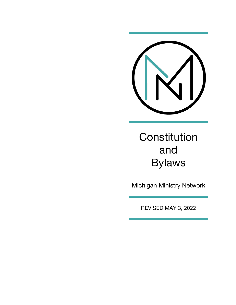

# **Constitution** and Bylaws

Michigan Ministry Network

REVISED MAY 3, 2022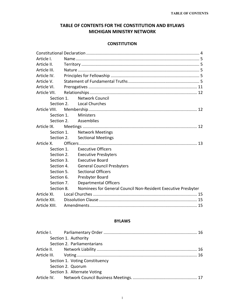### **TABLE OF CONTENTS FOR THE CONSTITUTION AND BYLAWS MICHIGAN MINISTRY NETWORK**

#### **CONSTITUTION**

| Article I.   |            |                                                               |
|--------------|------------|---------------------------------------------------------------|
| Article II.  |            |                                                               |
| Article III. |            |                                                               |
| Article IV.  |            |                                                               |
| Article V.   |            |                                                               |
| Article VI.  |            |                                                               |
|              |            |                                                               |
|              | Section 1. | <b>Network Council</b>                                        |
|              | Section 2. | <b>Local Churches</b>                                         |
|              |            |                                                               |
|              | Section 1. | Ministers                                                     |
|              |            | Section 2. Assemblies                                         |
| Article IX.  |            |                                                               |
|              | Section 1. | <b>Network Meetings</b>                                       |
|              | Section 2. | <b>Sectional Meetings</b>                                     |
| Article X.   |            |                                                               |
|              | Section 1. | <b>Executive Officers</b>                                     |
|              | Section 2. | <b>Executive Presbyters</b>                                   |
|              | Section 3. | <b>Executive Board</b>                                        |
|              | Section 4. | <b>General Council Presbyters</b>                             |
|              | Section 5. | <b>Sectional Officers</b>                                     |
|              | Section 6. | <b>Presbyter Board</b>                                        |
|              | Section 7. | <b>Departmental Officers</b>                                  |
|              | Section 8. | Nominees for General Council Non-Resident Executive Presbyter |
| Article XI.  |            |                                                               |
| Article XII. |            |                                                               |
|              |            |                                                               |

### **BYLAWS**

| Section 1. Authority           |  |
|--------------------------------|--|
| Section 2. Parliamentarians    |  |
|                                |  |
|                                |  |
| Section 1. Voting Constituency |  |
| Section 2. Quorum              |  |
| Section 3. Alternate Voting    |  |
|                                |  |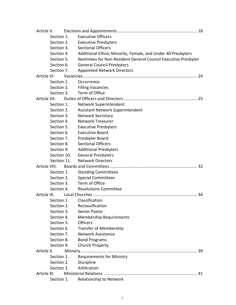| Article V.    |             |                                                               |
|---------------|-------------|---------------------------------------------------------------|
|               | Section 1.  | <b>Executive Officers</b>                                     |
|               | Section 2.  | <b>Executive Presbyters</b>                                   |
|               | Section 3.  | <b>Sectional Officers</b>                                     |
|               | Section 4.  | Additional Ethnic Minority, Female, and Under 40 Presbyters   |
|               | Section 5.  | Nominees for Non-Resident General Council Executive Presbyter |
|               | Section 6.  | <b>General Council Presbyters</b>                             |
|               | Section 7.  | <b>Appointed Network Directors</b>                            |
| Article VI.   |             |                                                               |
|               | Section 1.  | Occurrence                                                    |
|               | Section 2.  | <b>Filling Vacancies</b>                                      |
|               | Section 3.  | Term of Office                                                |
| Article VII.  |             |                                                               |
|               | Section 1.  | Network Superintendent                                        |
|               | Section 2.  | Assistant Network Superintendent                              |
|               | Section 3.  | <b>Network Secretary</b>                                      |
|               | Section 4.  | <b>Network Treasurer</b>                                      |
|               | Section 5.  | <b>Executive Presbyters</b>                                   |
|               | Section 6.  | <b>Executive Board</b>                                        |
|               | Section 7.  | Presbyter Board                                               |
|               | Section 8.  | <b>Sectional Officers</b>                                     |
|               | Section 9.  | <b>Additional Presbyters</b>                                  |
|               | Section 10. | <b>General Presbyters</b>                                     |
|               | Section 11. | <b>Network Directors</b>                                      |
| Article VIII. |             |                                                               |
|               | Section 1.  | <b>Standing Committees</b>                                    |
|               | Section 2.  | <b>Special Committees</b>                                     |
|               | Section 3.  | Term of Office                                                |
|               | Section 4.  | <b>Resolutions Committee</b>                                  |
| Article IX.   |             |                                                               |
|               |             | Section 1. Classification                                     |
|               | Section 2.  | Reclassification                                              |
|               | Section 3.  | <b>Senior Pastor</b>                                          |
|               | Section 4.  | <b>Membership Requirements</b>                                |
|               | Section 5.  | <b>Officers</b>                                               |
|               | Section 6.  | <b>Transfer of Membership</b>                                 |
|               | Section 7.  | <b>Network Assistance</b>                                     |
|               | Section 8.  | <b>Bond Programs</b>                                          |
|               | Section 9.  | Church Property                                               |
| Article X.    |             |                                                               |
|               | Section 1.  | <b>Requirements for Ministry</b>                              |
|               | Section 2.  | Discipline                                                    |
|               | Section 3.  | Arbitration                                                   |
| Article XI.   |             |                                                               |
|               | Section 1.  | Relationship to Network                                       |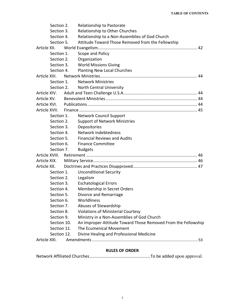| Section 2.     | Relationship to Pastorate                                     |  |
|----------------|---------------------------------------------------------------|--|
| Section 3.     | Relationship to Other Churches                                |  |
| Section 4.     | Relationship to a Non-Assemblies of God Church                |  |
| Section 5.     | Attitude Toward Those Removed from the Fellowship             |  |
| Article XII.   |                                                               |  |
| Section 1.     | Scope and Policy                                              |  |
| Section 2.     | Organization                                                  |  |
| Section 3.     | <b>World Missions Giving</b>                                  |  |
| Section 4.     | <b>Planting New Local Churches</b>                            |  |
| Article XIII.  |                                                               |  |
| Section 1.     | <b>Network Ministries</b>                                     |  |
|                | Section 2. North Central University                           |  |
| Article XIV.   |                                                               |  |
|                |                                                               |  |
|                |                                                               |  |
|                |                                                               |  |
| Section 1.     | <b>Network Council Support</b>                                |  |
| Section 2.     | <b>Support of Network Ministries</b>                          |  |
| Section 3.     | Depositories                                                  |  |
| Section 4.     | Network Indebtedness                                          |  |
| Section 5.     | <b>Financial Reviews and Audits</b>                           |  |
| Section 6.     | <b>Finance Committee</b>                                      |  |
| Section 7.     | <b>Budgets</b>                                                |  |
| Article XVIII. |                                                               |  |
| Article XIX.   |                                                               |  |
| Article XX.    |                                                               |  |
| Section 1.     | <b>Unconditional Security</b>                                 |  |
| Section 2.     | Legalism                                                      |  |
| Section 3.     | <b>Eschatological Errors</b>                                  |  |
| Section 4.     | Membership in Secret Orders                                   |  |
| Section 5.     | Divorce and Remarriage                                        |  |
| Section 6.     | Worldliness                                                   |  |
| Section 7.     | Abuses of Stewardship                                         |  |
| Section 8.     | <b>Violations of Ministerial Courtesy</b>                     |  |
| Section 9.     | Ministry in a Non-Assemblies of God Church                    |  |
| Section 10.    | An Improper Attitude Toward Those Removed From the Fellowship |  |
| Section 11.    | The Ecumenical Movement                                       |  |
| Section 12.    | Divine Healing and Professional Medicine                      |  |
| Article XXI.   |                                                               |  |
|                |                                                               |  |

### **RULES OF ORDER**

Network Affiliated Churches....................................................To be added upon approval.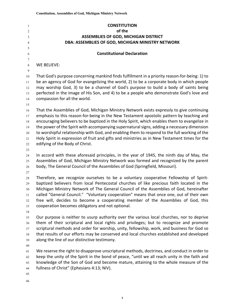| 1        | <b>CONSTITUTION</b>                                                                                                                                                                   |
|----------|---------------------------------------------------------------------------------------------------------------------------------------------------------------------------------------|
| 2        | of the                                                                                                                                                                                |
| 3        | <b>ASSEMBLIES OF GOD, MICHIGAN DISTRICT</b>                                                                                                                                           |
| 4        | DBA: ASSEMBLIES OF GOD, MICHIGAN MINISTRY NETWORK                                                                                                                                     |
| 5<br>6   | <b>Constitutional Declaration</b>                                                                                                                                                     |
| 7        |                                                                                                                                                                                       |
| $8\,$    | <b>WE BELIEVE:</b>                                                                                                                                                                    |
| 9        |                                                                                                                                                                                       |
| 10       | That God's purpose concerning mankind finds fulfillment in a priority reason-for-being: 1) to                                                                                         |
| 11       | be an agency of God for evangelizing the world, 2) to be a corporate body in which people                                                                                             |
| 12       | may worship God, 3) to be a channel of God's purpose to build a body of saints being                                                                                                  |
| 13       | perfected in the image of His Son, and 4) to be a people who demonstrate God's love and                                                                                               |
| 14       | compassion for all the world.                                                                                                                                                         |
| 15       |                                                                                                                                                                                       |
| 16<br>17 | That the Assemblies of God, Michigan Ministry Network exists expressly to give continuing<br>emphasis to this reason-for-being in the New Testament apostolic pattern by teaching and |
| 18       | encouraging believers to be baptized in the Holy Spirit, which enables them to evangelize in                                                                                          |
| 19       | the power of the Spirit with accompanying supernatural signs, adding a necessary dimension                                                                                            |
| 20       | to worshipful relationship with God, and enabling them to respond to the full working of the                                                                                          |
| 21       | Holy Spirit in expression of fruit and gifts and ministries as in New Testament times for the                                                                                         |
| 22       | edifying of the Body of Christ.                                                                                                                                                       |
| 23       |                                                                                                                                                                                       |
| 24       | In accord with these aforesaid principles, in the year of 1945, the ninth day of May, the                                                                                             |
| 25       | Assemblies of God, Michigan Ministry Network was formed and recognized by the parent                                                                                                  |
| 26       | body, The General Council of the Assemblies of God (Springfield, Missouri).                                                                                                           |
| 27       |                                                                                                                                                                                       |
| 28       | Therefore, we recognize ourselves to be a voluntary cooperative Fellowship of Spirit-                                                                                                 |
| 29       | baptized believers from local Pentecostal churches of like precious faith located in the<br>Michigan Ministry Network of The General Council of the Assemblies of God, hereinafter    |
| 30<br>31 | called "General Council." "Voluntary cooperation" means that once one, out of their own                                                                                               |
| 32       | free will, decides to become a cooperating member of the Assemblies of God, this                                                                                                      |
| 33       | cooperation becomes obligatory and not optional.                                                                                                                                      |
| 34       |                                                                                                                                                                                       |
| 35       | Our purpose is neither to usurp authority over the various local churches, nor to deprive                                                                                             |
| 36       | them of their scriptural and local rights and privileges; but to recognize and promote                                                                                                |
| 37       | scriptural methods and order for worship, unity, fellowship, work, and business for God so                                                                                            |
| 38       | that results of our efforts may be conserved and local churches established and developed                                                                                             |
| 39       | along the line of our distinctive testimony.                                                                                                                                          |
| 40       |                                                                                                                                                                                       |
| 41       | We reserve the right to disapprove unscriptural methods, doctrines, and conduct in order to                                                                                           |
| 42       | keep the unity of the Spirit in the bond of peace, "until we all reach unity in the faith and<br>knowledge of the Son of God and become mature, attaining to the whole measure of the |
| 43<br>44 | fullness of Christ" (Ephesians 4:13; NIV).                                                                                                                                            |
| 45       |                                                                                                                                                                                       |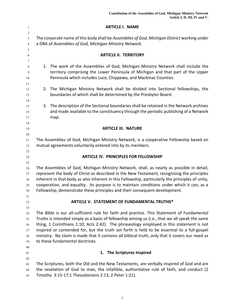|                                        | Article I, II, III, IV and V.                                                                                                                                                                                                                                                                                                                                                                                                                                                                                                |
|----------------------------------------|------------------------------------------------------------------------------------------------------------------------------------------------------------------------------------------------------------------------------------------------------------------------------------------------------------------------------------------------------------------------------------------------------------------------------------------------------------------------------------------------------------------------------|
| $\mathbf{1}$                           | <b>ARTICLE I. NAME</b>                                                                                                                                                                                                                                                                                                                                                                                                                                                                                                       |
| $\overline{c}$<br>3<br>4               | The corporate name of this body shall be Assemblies of God, Michigan District working under<br>a DBA of Assemblies of God, Michigan Ministry Network.                                                                                                                                                                                                                                                                                                                                                                        |
| 5<br>6                                 | <b>ARTICLE II. TERRITORY</b>                                                                                                                                                                                                                                                                                                                                                                                                                                                                                                 |
| 7                                      |                                                                                                                                                                                                                                                                                                                                                                                                                                                                                                                              |
| 8<br>9<br>10                           | 1. The work of the Assemblies of God, Michigan Ministry Network shall include the<br>territory comprising the Lower Peninsula of Michigan and that part of the Upper<br>Peninsula which includes Luce, Chippewa, and Mackinac Counties.                                                                                                                                                                                                                                                                                      |
| 11<br>12<br>13                         | 2. The Michigan Ministry Network shall be divided into Sectional fellowships, the<br>boundaries of which shall be determined by the Presbyter Board.                                                                                                                                                                                                                                                                                                                                                                         |
| 14<br>15<br>16<br>17                   | 3. The description of the Sectional boundaries shall be retained in the Network archives<br>and made available to the constituency through the periodic publishing of a Network<br>map.                                                                                                                                                                                                                                                                                                                                      |
| 18                                     |                                                                                                                                                                                                                                                                                                                                                                                                                                                                                                                              |
| 19                                     | <b>ARTICLE III. NATURE</b>                                                                                                                                                                                                                                                                                                                                                                                                                                                                                                   |
| 20<br>21<br>22<br>23                   | The Assemblies of God, Michigan Ministry Network, is a cooperative Fellowship based on<br>mutual agreements voluntarily entered into by its members.                                                                                                                                                                                                                                                                                                                                                                         |
| 24                                     | <b>ARTICLE IV. PRINCIPLES FOR FELLOWSHIP</b>                                                                                                                                                                                                                                                                                                                                                                                                                                                                                 |
| 25<br>26<br>27<br>28<br>29<br>30       | The Assemblies of God, Michigan Ministry Network, shall, as nearly as possible in detail,<br>represent the body of Christ as described in the New Testament, recognizing the principles<br>inherent in that body as also inherent in this Fellowship, particularly the principles of unity,<br>cooperation, and equality. Its purpose is to maintain conditions under which it can, as a<br>Fellowship, demonstrate these principles and their consequent development.                                                       |
| 31<br>32                               | ARTICLE V. STATEMENT OF FUNDAMENTAL TRUTHS*                                                                                                                                                                                                                                                                                                                                                                                                                                                                                  |
| 33<br>34<br>35<br>36<br>37<br>38<br>39 | The Bible is our all-sufficient rule for faith and practice. This Statement of Fundamental<br>Truths is intended simply as a basis of fellowship among us (i.e., that we all speak the same<br>thing, 1 Corinthians 1:10; Acts 2:42). The phraseology employed in this statement is not<br>inspired or contended for, but the truth set forth is held to be essential to a full-gospel<br>ministry. No claim is made that it contains all biblical truth, only that it covers our need as<br>to these fundamental doctrines. |
| 40<br>41                               | 1. The Scriptures Inspired                                                                                                                                                                                                                                                                                                                                                                                                                                                                                                   |
| 42<br>43<br>44<br>45                   | The Scriptures, both the Old and the New Testaments, are verbally inspired of God and are<br>the revelation of God to man, the infallible, authoritative rule of faith, and conduct (2<br>Timothy 3:15-17;1 Thessalonians 2:13, 2 Peter 1:21).                                                                                                                                                                                                                                                                               |

**Constitution of the Assemblies of God, Michigan Ministry Network**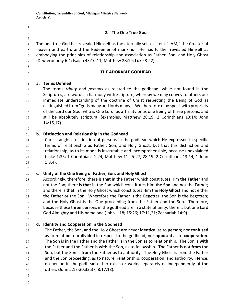| $\mathbf{1}$   |    |                                                                                             |
|----------------|----|---------------------------------------------------------------------------------------------|
| $\overline{2}$ |    | 2. The One True God                                                                         |
| 3              |    |                                                                                             |
| 4              |    | The one true God has revealed Himself as the eternally self-existent "I AM," the Creator of |
| 5              |    | heaven and earth, and the Redeemer of mankind. He has further revealed Himself as           |
| 6              |    | embodying the principles of relationship and association as Father, Son, and Holy Ghost     |
| 7              |    | (Deuteronomy 6:4; Isaiah 43:10,11; Matthew 28:19; Luke 3:22).                               |
| 8              |    |                                                                                             |
| 9              |    | THE ADORABLE GODHEAD                                                                        |
| 10             |    |                                                                                             |
| 11             |    | a. Terms Defined                                                                            |
| 12             |    | The terms trinity and persons as related to the godhead, while not found in the             |
| 13             |    | Scriptures, are words in harmony with Scripture, whereby we may convey to others our        |
| 14             |    | immediate understanding of the doctrine of Christ respecting the Being of God as            |
| 15             |    | distinguished from "gods many and lords many." We therefore may speak with propriety        |
| 16             |    | of the Lord our God, who is One Lord, as a Trinity or as one Being of three persons, and    |
| 17             |    | still be absolutely scriptural (examples, Matthew 28:19; 2 Corinthians 13:14; John          |
| 18             |    | $14:16,17$ ).                                                                               |
| 19             |    |                                                                                             |
| 20             |    | b. Distinction and Relationship in the Godhead                                              |
| 21             |    | Christ taught a distinction of persons in the godhead which He expressed in specific        |
| 22             |    | terms of relationship as Father, Son, and Holy Ghost, but that this distinction and         |
| 23             |    | relationship, as to its mode is inscrutable and incomprehensible, because unexplained       |
| 24             |    | (Luke 1:35; 1 Corinthians 1:24; Matthew 11:25-27; 28:19; 2 Corinthians 13:14; 1 John        |
| 25             |    | $1:3,4$ ).                                                                                  |
| 26             |    |                                                                                             |
| 27             | c. | Unity of the One Being of Father, Son, and Holy Ghost                                       |
| 28             |    | Accordingly, therefore, there is that in the Father which constitutes Him the Father and    |
| 29             |    | not the Son; there is that in the Son which constitutes Him the Son and not the Father;     |
| 30             |    | and there is that in the Holy Ghost which constitutes Him the Holy Ghost and not either     |
| 31             |    | the Father or the Son. Wherefore the Father is the Begetter; the Son is the Begotten;       |
| 32             |    | and the Holy Ghost is the One proceeding from the Father and the Son. Therefore,            |
| 33             |    | because these three persons in the godhead are in a state of unity, there is but one Lord   |
| 34             |    | God Almighty and His name one (John 1:18; 15:26; 17:11,21; Zechariah 14:9).                 |
| 35             |    |                                                                                             |
| 36             |    | d. Identity and Cooperation in the Godhead                                                  |
| 37             |    | The Father, the Son, and the Holy Ghost are never identical as to person; nor confused      |
| 38             |    | as to relation; nor divided in respect to the godhead; nor opposed as to cooperation.       |
| 39             |    | The Son is in the Father and the Father is in the Son as to relationship. The Son is with   |
| 40             |    | the Father and the Father is with the Son, as to fellowship. The Father is not from the     |
| 41             |    | Son, but the Son is from the Father as to authority. The Holy Ghost is from the Father      |
| 42             |    | and the Son proceeding, as to nature, relationship, cooperation, and authority. Hence,      |
| 43             |    | no person in the godhead either exists or works separately or independently of the          |
| 44             |    | others (John 5:17-30,32,37; 8:17,18).                                                       |
| 45             |    |                                                                                             |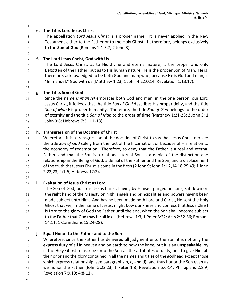### **e. The Title, Lord Jesus Christ**

 The appellation *Lord Jesus Christ* is a proper name. It is never applied in the New Testament either to the Father or to the Holy Ghost. It, therefore, belongs exclusively to the **Son of God** (Romans 1:1-3,7; 2 John 3).

### **f. The Lord Jesus Christ, God with Us**

 The Lord Jesus Christ, as to His divine and eternal nature, is the proper and only Begotten of the Father, but as to His human nature, He is the proper Son of Man. He is, therefore, acknowledged to be both God and man; who, because He is God and man, is "Immanuel," God with us (Matthew 1:23; 1 John 4:2,10,14; Revelation 1:13,17).

### **g. The Title, Son of God**

 Since the name *Immanuel* embraces both God and man, in the one person, our Lord Jesus Christ, it follows that the title *Son of God* describes His proper deity, and the title *Son of Man* His proper humanity. Therefore, the title *Son of God* belongs to the order of eternity and the title *Son of Man* to the **order of time** (Matthew 1:21-23; 2 John 3; 1 John 3:8; Hebrews 7:3; 1:1-13).

### **h. Transgression of the Doctrine of Christ**

 Wherefore, it is a transgression of the doctrine of Christ to say that Jesus Christ derived the title *Son of God* solely from the fact of the Incarnation, or because of His relation to the economy of redemption. Therefore, to deny that the Father is a real and eternal Father, and that the Son is a real and eternal Son, is a denial of the distinction and relationship in the Being of God; a denial of the Father and the Son; and a displacement of the truth that Jesus Christ is come in the flesh (2 John 9; John 1:1,2,14,18,29,49; 1 John 2:22,23; 4:1-5; Hebrews 12:2).

### **i. Exaltation of Jesus Christ as Lord**

 The Son of God, our Lord Jesus Christ, having by Himself purged our sins, sat down on the right hand of the Majesty on high, angels and principalities and powers having been made subject unto Him. And having been made both Lord and Christ, He sent the Holy Ghost that we, in the name of Jesus, might bow our knees and confess that Jesus Christ is Lord to the glory of God the Father until the end, when the Son shall become subject to the Father that God may be all in all (Hebrews 1:3; 1 Peter 3:22; Acts 2:32-36; Romans 14:11; 1 Corinthians 15:24-28).

### **j. Equal Honor to the Father and to the Son**

 Wherefore, since the Father has delivered all judgment unto the Son, it is not only the **express duty** of all in heaven and on earth to bow the knee, but it is an **unspeakable** joy in the Holy Ghost to ascribe unto the Son all the attributes of deity, and to give Him all 42 the honor and the glory contained in all the names and titles of the godhead except those which express relationship (see paragraphs b, c, and d), and thus honor the Son even as we honor the Father (John 5:22,23; 1 Peter 1:8; Revelation 5:6-14; Philippians 2:8,9; Revelation 7:9,10; 4:8-11).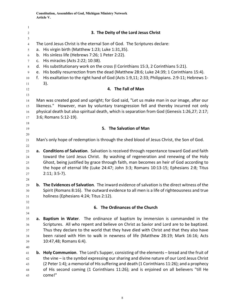| $\mathbf{1}$    |    |                                                                                                                                                                                         |
|-----------------|----|-----------------------------------------------------------------------------------------------------------------------------------------------------------------------------------------|
| $\overline{2}$  |    | 3. The Deity of the Lord Jesus Christ                                                                                                                                                   |
| 3               |    |                                                                                                                                                                                         |
| $\overline{4}$  |    | The Lord Jesus Christ is the eternal Son of God. The Scriptures declare:                                                                                                                |
| 5               |    | a. His virgin birth (Matthew 1:23; Luke 1:31,35).                                                                                                                                       |
| 6               |    | b. His sinless life (Hebrews 7:26; 1 Peter 2:22).                                                                                                                                       |
| $7\phantom{.0}$ |    | c. His miracles (Acts 2:22; 10:38).                                                                                                                                                     |
| 8               |    | d. His substitutionary work on the cross (I Corinthians 15:3, 2 Corinthians 5:21).                                                                                                      |
| 9<br>10         | f. | e. His bodily resurrection from the dead (Matthew 28:6; Luke 24:39; 1 Corinthians 15:4).<br>His exaltation to the right hand of God (Acts 1:9,11; 2:33; Philippians. 2:9-11; Hebrews 1- |
| 11              |    | 3).                                                                                                                                                                                     |
| 12              |    | 4. The Fall of Man                                                                                                                                                                      |
| 13              |    |                                                                                                                                                                                         |
| 14              |    | Man was created good and upright; for God said, "Let us make man in our image, after our                                                                                                |
| 15              |    | likeness." However, man by voluntary transgression fell and thereby incurred not only                                                                                                   |
| 16              |    | physical death but also spiritual death, which is separation from God (Genesis 1:26,27; 2:17;                                                                                           |
| 17              |    | 3:6; Romans 5:12-19).                                                                                                                                                                   |
| 18              |    |                                                                                                                                                                                         |
| 19              |    | 5. The Salvation of Man                                                                                                                                                                 |
| 20              |    |                                                                                                                                                                                         |
| 21              |    | Man's only hope of redemption is through the shed blood of Jesus Christ, the Son of God.                                                                                                |
| 22              |    |                                                                                                                                                                                         |
| 23              |    | a. Conditions of Salvation. Salvation is received through repentance toward God and faith                                                                                               |
| 24              |    | toward the Lord Jesus Christ. By washing of regeneration and renewing of the Holy                                                                                                       |
| 25              |    | Ghost, being justified by grace through faith, man becomes an heir of God according to                                                                                                  |
| 26              |    | the hope of eternal life (Luke 24:47; John 3:3; Romans 10:13-15; Ephesians 2:8; Titus                                                                                                   |
| 27              |    | $2:11; 3:5-7$ ).                                                                                                                                                                        |
| 28              |    |                                                                                                                                                                                         |
| 29              |    | b. The Evidences of Salvation. The inward evidence of salvation is the direct witness of the                                                                                            |
| 30              |    | Spirit (Romans 8:16). The outward evidence to all men is a life of righteousness and true                                                                                               |
| 31              |    | holiness (Ephesians 4:24; Titus 2:12).                                                                                                                                                  |
| 32              |    |                                                                                                                                                                                         |
| 33              |    | The Ordinances of the Church<br>6.                                                                                                                                                      |
| 34              |    |                                                                                                                                                                                         |
| 35              |    | a. Baptism in Water. The ordinance of baptism by immersion is commanded in the                                                                                                          |
| 36              |    | Scriptures. All who repent and believe on Christ as Savior and Lord are to be baptized.                                                                                                 |
| 37              |    | Thus they declare to the world that they have died with Christ and that they also have                                                                                                  |
| 38              |    | been raised with Him to walk in newness of life (Matthew 28:19; Mark 16:16; Acts                                                                                                        |
| 39              |    | 10:47,48; Romans 6:4).                                                                                                                                                                  |
| 40              |    |                                                                                                                                                                                         |
| 41              |    | <b>b.</b> Holy Communion. The Lord's Supper, consisting of the elements - bread and the fruit of                                                                                        |
| 42              |    | the vine $-$ is the symbol expressing our sharing and divine nature of our Lord Jesus Christ                                                                                            |
| 43              |    | (2 Peter 1:4); a memorial of His suffering and death (1 Corinthians 11:26); and a prophecy                                                                                              |
| 44              |    | of His second coming (1 Corinthians 11:26); and is enjoined on all believers "till He                                                                                                   |
| 45              |    | come!"                                                                                                                                                                                  |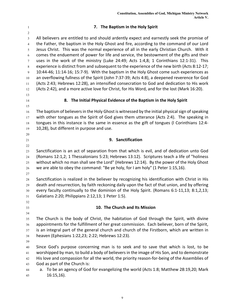**7. The Baptism in the Holy Spirit**

 All believers are entitled to and should ardently expect and earnestly seek the promise of the Father, the baptism in the Holy Ghost and fire, according to the command of our Lord Jesus Christ. This was the normal experience of all in the early Christian Church. With it comes the enduement of power for life and service, the bestowment of the gifts and their uses in the work of the ministry (Luke 24:49; Acts 1:4,8; 1 Corinthians 12:1-31). This experience is distinct from and subsequent to the experience of the new birth (Acts 8:12-17; 10:44-46; 11:14-16; 15:7-9). With the baptism in the Holy Ghost come such experiences as an overflowing fullness of the Spirit (John 7:37-39; Acts 4:8), a deepened reverence for God (Acts 2:43; Hebrews 12:28), an intensified consecration to God and dedication to His work (Acts 2:42), and a more active love for Christ, for His Word, and for the lost (Mark 16:20). **8. The Initial Physical Evidence of the Baptism in the Holy Spirit** 16 The baptism of believers in the Holy Ghost is witnessed by the initial physical sign of speaking with other tongues as the Spirit of God gives them utterance (Acts 2:4). The speaking in tongues in this instance is the same in essence as the gift of tongues (l Corinthians 12:4- 10,28), but different in purpose and use. **9. Sanctification** Sanctification is an act of separation from that which is evil, and of dedication unto God (Romans 12:1,2; 1 Thessalonians 5:23; Hebrews 13:12). Scriptures teach a life of "holiness without which no man shall see the Lord" (Hebrews 12:14). By the power of the Holy Ghost we are able to obey the command: "Be ye holy, for I am holy" (1 Peter 1:15,16). Sanctification is realized in the believer by recognizing his identification with Christ in His death and resurrection, by faith reckoning daily upon the fact of that union, and by offering every faculty continually to the dominion of the Holy Spirit. (Romans 6:1-11,13; 8:1,2,13; Galatians 2:20; Philippians 2:12,13; 1 Peter 1:5). **10. The Church and Its Mission** The Church is the body of Christ, the habitation of God through the Spirit, with divine appointments for the fulfillment of her great commission. Each believer, born of the Spirit, is an integral part of the general church and church of the Firstborn, which are written in heaven (Ephesians 1:22,23; 2:22; Hebrews 12:23). Since God's purpose concerning man is to seek and to save that which is lost, to be worshipped by man, to build a body of believers in the image of His Son, and to demonstrate 42 His love and compassion for all the world, the priority reason-for-being of the Assemblies of

- God as part of the Church is:
- a. To be an agency of God for evangelizing the world (Acts 1:8; Matthew 28:19,20; Mark 16:15,16).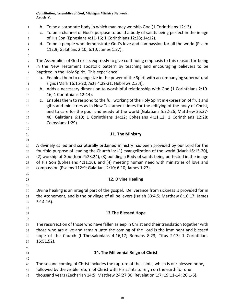#### **Constitution, Assemblies of God, Michigan Ministry Network Article V.**

| $\mathbf{1}$ | b. To be a corporate body in which man may worship God (1 Corinthians 12:13).                   |  |  |  |
|--------------|-------------------------------------------------------------------------------------------------|--|--|--|
| 2            | To be a channel of God's purpose to build a body of saints being perfect in the image<br>c.     |  |  |  |
| 3            | of His Son (Ephesians 4:11-16; 1 Corinthians 12:28; 14:12).                                     |  |  |  |
| 4            | d. To be a people who demonstrate God's love and compassion for all the world (Psalm            |  |  |  |
| 5            | 112:9; Galatians 2:10; 6:10; James 1:27).                                                       |  |  |  |
| 6            |                                                                                                 |  |  |  |
| $\tau$       | The Assemblies of God exists expressly to give continuing emphasis to this reason-for-being     |  |  |  |
| 8            | in the New Testament apostolic pattern by teaching and encouraging believers to be              |  |  |  |
| 9            | baptized in the Holy Spirit. This experience:                                                   |  |  |  |
| 10           | Enables them to evangelize in the power of the Spirit with accompanying supernatural<br>a.      |  |  |  |
| 11           | signs (Mark 16:15-20; Acts 4:29-31; Hebrews 2:3,4).                                             |  |  |  |
| 12           | b. Adds a necessary dimension to worshipful relationship with God (1 Corinthians 2:10-          |  |  |  |
| 13           | 16; 1 Corinthians 12-14).                                                                       |  |  |  |
| 14           | Enables them to respond to the full working of the Holy Spirit in expression of fruit and<br>c. |  |  |  |
| 15           | gifts and ministries as in New Testament times for the edifying of the body of Christ,          |  |  |  |
| 16           | and to care for the poor and needy of the world (Galatians 5:22-26; Matthew 25:37-              |  |  |  |
| 17           | 40; Galatians 6:10; 1 Corinthians 14:12; Ephesians 4:11,12; 1 Corinthians 12:28;                |  |  |  |
| 18           | Colossians 1:29).                                                                               |  |  |  |
| 19           |                                                                                                 |  |  |  |
| 20           | 11. The Ministry                                                                                |  |  |  |
| 21           |                                                                                                 |  |  |  |
| 22           | A divinely called and scripturally ordained ministry has been provided by our Lord for the      |  |  |  |
| 23           | fourfold purpose of leading the Church in: (1) evangelization of the world (Mark 16:15-20),     |  |  |  |
| 24           | (2) worship of God (John 4:23,24), (3) building a Body of saints being perfected in the image   |  |  |  |
| 25           | of His Son (Ephesians 4:11,16), and (4) meeting human need with ministries of love and          |  |  |  |
| 26           | compassion (Psalms 112:9; Galatians 2:10; 6:10; James 1:27).                                    |  |  |  |
| 27           |                                                                                                 |  |  |  |
| 28           | 12. Divine Healing                                                                              |  |  |  |
| 29           |                                                                                                 |  |  |  |
| 30           | Divine healing is an integral part of the gospel. Deliverance from sickness is provided for in  |  |  |  |
| 31           | the Atonement, and is the privilege of all believers (Isaiah 53:4,5; Matthew 8:16,17: James     |  |  |  |
| 32           | $5:14-16$ ).                                                                                    |  |  |  |
| 33           |                                                                                                 |  |  |  |
| 34           | 13. The Blessed Hope                                                                            |  |  |  |
| 35           |                                                                                                 |  |  |  |
| 36           | The resurrection of those who have fallen asleep in Christ and their translation together with  |  |  |  |
| 37           | those who are alive and remain unto the coming of the Lord is the imminent and blessed          |  |  |  |
| 38           | hope of the Church (I Thessalonians 4:16,17; Romans 8:23; Titus 2:13; 1 Corinthians             |  |  |  |
| 39           | $15:51,52$ ).                                                                                   |  |  |  |
| 40           |                                                                                                 |  |  |  |
| 41           | 14. The Millennial Reign of Christ                                                              |  |  |  |
| 42           |                                                                                                 |  |  |  |
| 43           | The second coming of Christ includes the rapture of the saints, which is our blessed hope,      |  |  |  |
| 44           | followed by the visible return of Christ with His saints to reign on the earth for one          |  |  |  |
| 45           | thousand years (Zechariah 14:5; Matthew 24:27,30; Revelation 1:7; 19:11-14; 20:1-6).            |  |  |  |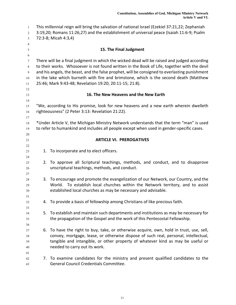| 1        |    | This millennial reign will bring the salvation of national Israel (Ezekiel 37:21,22; Zephaniah<br>3:19,20; Romans 11:26,27) and the establishment of universal peace (Isaiah 11:6-9; Psalm |
|----------|----|--------------------------------------------------------------------------------------------------------------------------------------------------------------------------------------------|
| 2        |    | 72:3-8; Micah 4:3,4)                                                                                                                                                                       |
| 3<br>4   |    |                                                                                                                                                                                            |
| 5        |    | 15. The Final Judgment                                                                                                                                                                     |
| 6        |    |                                                                                                                                                                                            |
| 7        |    | There will be a final judgment in which the wicked dead will be raised and judged according                                                                                                |
| 8        |    | to their works. Whosoever is not found written in the Book of Life, together with the devil                                                                                                |
| 9        |    | and his angels, the beast, and the false prophet, will be consigned to everlasting punishment                                                                                              |
| $10\,$   |    | in the lake which burneth with fire and brimstone, which is the second death (Matthew                                                                                                      |
| 11       |    | 25:46; Mark 9:43-48; Revelation 19:20; 20:11-15; 21:8).                                                                                                                                    |
| 12       |    |                                                                                                                                                                                            |
| 13       |    | 16. The New Heavens and the New Earth                                                                                                                                                      |
| 14       |    |                                                                                                                                                                                            |
| 15<br>16 |    | "We, according to His promise, look for new heavens and a new earth wherein dwelleth<br>righteousness" (2 Peter 3:13: Revelation 21:22).                                                   |
| 17       |    |                                                                                                                                                                                            |
| 18       |    | *Under Article V, the Michigan Ministry Network understands that the term "man" is used                                                                                                    |
| 19       |    | to refer to humankind and includes all people except when used in gender-specific cases.                                                                                                   |
| 20       |    |                                                                                                                                                                                            |
| 21<br>22 |    | <b>ARTICLE VI. PREROGATIVES</b>                                                                                                                                                            |
| 23<br>24 |    | 1. To incorporate and to elect officers.                                                                                                                                                   |
| 25       |    | 2. To approve all Scriptural teachings, methods, and conduct, and to disapprove                                                                                                            |
| 26       |    | unscriptural teachings, methods, and conduct.                                                                                                                                              |
| 27       |    |                                                                                                                                                                                            |
| 28       |    | 3. To encourage and promote the evangelization of our Network, our Country, and the                                                                                                        |
| 29       |    | World. To establish local churches within the Network territory, and to assist                                                                                                             |
| 30       |    | established local churches as may be necessary and advisable.                                                                                                                              |
| 31       |    |                                                                                                                                                                                            |
| 32       |    | 4. To provide a basis of fellowship among Christians of like precious faith.                                                                                                               |
| 33       |    |                                                                                                                                                                                            |
| 34       |    | 5. To establish and maintain such departments and institutions as may be necessary for                                                                                                     |
| 35       |    | the propagation of the Gospel and the work of this Pentecostal Fellowship.                                                                                                                 |
| 36       |    |                                                                                                                                                                                            |
| 37       |    | 6. To have the right to buy, take, or otherwise acquire, own, hold in trust, use, sell,                                                                                                    |
| 38       |    | convey, mortgage, lease, or otherwise dispose of such real, personal, intellectual,                                                                                                        |
| 39<br>40 |    | tangible and intangible, or other property of whatever kind as may be useful or<br>needed to carry out its work.                                                                           |
| 41       |    |                                                                                                                                                                                            |
| 42       | 7. | To examine candidates for the ministry and present qualified candidates to the                                                                                                             |
| 43       |    | General Council Credentials Committee.                                                                                                                                                     |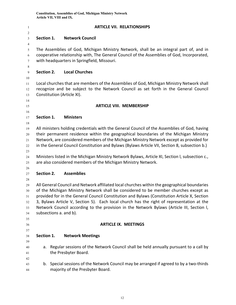| $\mathbf{1}$        | <b>ARTICLE VII. RELATIONSHIPS</b>                                                               |
|---------------------|-------------------------------------------------------------------------------------------------|
| $\overline{c}$      |                                                                                                 |
| $\mathfrak{Z}$<br>4 | Section 1.<br><b>Network Council</b>                                                            |
| 5                   | The Assemblies of God, Michigan Ministry Network, shall be an integral part of, and in          |
| 6                   | cooperative relationship with, The General Council of the Assemblies of God, Incorporated,      |
| 7                   | with headquarters in Springfield, Missouri.                                                     |
| 8                   |                                                                                                 |
| $\boldsymbol{9}$    | <b>Local Churches</b><br>Section 2.                                                             |
| 10                  |                                                                                                 |
| 11                  | Local churches that are members of the Assemblies of God, Michigan Ministry Network shall       |
| 12                  | recognize and be subject to the Network Council as set forth in the General Council             |
| 13                  | Constitution (Article XI).                                                                      |
| 14                  | <b>ARTICLE VIII. MEMBERSHIP</b>                                                                 |
| 15<br>16            |                                                                                                 |
| 17                  | Section 1.<br><b>Ministers</b>                                                                  |
| 18                  |                                                                                                 |
| 19                  | All ministers holding credentials with the General Council of the Assemblies of God, having     |
| 20                  | their permanent residence within the geographical boundaries of the Michigan Ministry           |
| 21                  | Network, are considered members of the Michigan Ministry Network except as provided for         |
| 22                  | in the General Council Constitution and Bylaws (Bylaws Article VII, Section 8, subsection b.)   |
| 23                  |                                                                                                 |
| 24                  | Ministers listed in the Michigan Ministry Network Bylaws, Article XI, Section I, subsection c., |
| 25                  | are also considered members of the Michigan Ministry Network.                                   |
| 26<br>27            | Section 2.<br><b>Assemblies</b>                                                                 |
| 28                  |                                                                                                 |
| 29                  | All General Council and Network affiliated local churches within the geographical boundaries    |
| 30                  | of the Michigan Ministry Network shall be considered to be member churches except as            |
| 31                  | provided for in the General Council Constitution and Bylaws (Constitution Article X, Section    |
| 32                  | 3, Bylaws Article V, Section 5). Each local church has the right of representation at the       |
| 33                  | Network Council according to the provision in the Network Bylaws (Article III, Section I,       |
| 34                  | subsections a. and b).                                                                          |
| 35                  |                                                                                                 |
| 36                  | <b>ARTICLE IX. MEETINGS</b>                                                                     |
| 37                  |                                                                                                 |
| 38                  | Section 1.<br><b>Network Meetings</b>                                                           |
| 39<br>40            | a. Regular sessions of the Network Council shall be held annually pursuant to a call by         |
| 41                  | the Presbyter Board.                                                                            |
| 42                  |                                                                                                 |
| 43                  | b. Special sessions of the Network Council may be arranged if agreed to by a two-thirds         |
| 44                  | majority of the Presbyter Board.                                                                |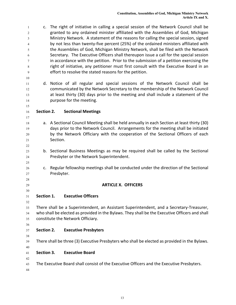| $\mathbf{1}$<br>$\overline{2}$<br>3<br>4<br>5<br>6<br>7<br>8<br>9 |            |            | c. The right of initiative in calling a special session of the Network Council shall be<br>granted to any ordained minister affiliated with the Assemblies of God, Michigan<br>Ministry Network. A statement of the reasons for calling the special session, signed<br>by not less than twenty-five percent (25%) of the ordained ministers affiliated with<br>the Assemblies of God, Michigan Ministry Network, shall be filed with the Network<br>Secretary. The Executive Officers shall thereupon issue a call for the special session<br>in accordance with the petition. Prior to the submission of a petition exercising the<br>right of initiative, any petitioner must first consult with the Executive Board in an<br>effort to resolve the stated reasons for the petition. |
|-------------------------------------------------------------------|------------|------------|----------------------------------------------------------------------------------------------------------------------------------------------------------------------------------------------------------------------------------------------------------------------------------------------------------------------------------------------------------------------------------------------------------------------------------------------------------------------------------------------------------------------------------------------------------------------------------------------------------------------------------------------------------------------------------------------------------------------------------------------------------------------------------------|
| 10<br>11<br>12<br>13<br>14<br>15                                  |            |            | d. Notice of all regular and special sessions of the Network Council shall be<br>communicated by the Network Secretary to the membership of the Network Council<br>at least thirty (30) days prior to the meeting and shall include a statement of the<br>purpose for the meeting.                                                                                                                                                                                                                                                                                                                                                                                                                                                                                                     |
| 16                                                                | Section 2. |            | <b>Sectional Meetings</b>                                                                                                                                                                                                                                                                                                                                                                                                                                                                                                                                                                                                                                                                                                                                                              |
| 17<br>18<br>19<br>20<br>21                                        |            | Section.   | a. A Sectional Council Meeting shall be held annually in each Section at least thirty (30)<br>days prior to the Network Council. Arrangements for the meeting shall be initiated<br>by the Network Officiary with the cooperation of the Sectional Officers of each                                                                                                                                                                                                                                                                                                                                                                                                                                                                                                                    |
| 22<br>23<br>24                                                    |            |            | b. Sectional Business Meetings as may be required shall be called by the Sectional<br>Presbyter or the Network Superintendent.                                                                                                                                                                                                                                                                                                                                                                                                                                                                                                                                                                                                                                                         |
| 25<br>26<br>27                                                    | c.         | Presbyter. | Regular fellowship meetings shall be conducted under the direction of the Sectional                                                                                                                                                                                                                                                                                                                                                                                                                                                                                                                                                                                                                                                                                                    |
| 28<br>29                                                          |            |            | <b>ARTICLE X. OFFICERS</b>                                                                                                                                                                                                                                                                                                                                                                                                                                                                                                                                                                                                                                                                                                                                                             |
| 30                                                                | Section 1. |            | <b>Executive Officers</b>                                                                                                                                                                                                                                                                                                                                                                                                                                                                                                                                                                                                                                                                                                                                                              |
| 31<br>32                                                          |            |            |                                                                                                                                                                                                                                                                                                                                                                                                                                                                                                                                                                                                                                                                                                                                                                                        |
| 33<br>34<br>35<br>36                                              |            |            | There shall be a Superintendent, an Assistant Superintendent, and a Secretary-Treasurer,<br>who shall be elected as provided in the Bylaws. They shall be the Executive Officers and shall<br>constitute the Network Officiary.                                                                                                                                                                                                                                                                                                                                                                                                                                                                                                                                                        |
| 37                                                                | Section 2. |            | <b>Executive Presbyters</b>                                                                                                                                                                                                                                                                                                                                                                                                                                                                                                                                                                                                                                                                                                                                                            |
| 38<br>39<br>40                                                    |            |            | There shall be three (3) Executive Presbyters who shall be elected as provided in the Bylaws.                                                                                                                                                                                                                                                                                                                                                                                                                                                                                                                                                                                                                                                                                          |
| 41                                                                | Section 3. |            | <b>Executive Board</b>                                                                                                                                                                                                                                                                                                                                                                                                                                                                                                                                                                                                                                                                                                                                                                 |
| 42<br>43<br>44                                                    |            |            | The Executive Board shall consist of the Executive Officers and the Executive Presbyters.                                                                                                                                                                                                                                                                                                                                                                                                                                                                                                                                                                                                                                                                                              |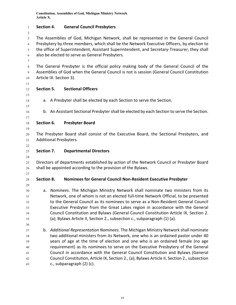**Constitution, Assemblies of God, Michigan Ministry Network Article X.**

| $\mathbf{1}$        | Section 4.                    | <b>General Council Presbyters</b>                                                                                                                                   |
|---------------------|-------------------------------|---------------------------------------------------------------------------------------------------------------------------------------------------------------------|
| 2<br>$\mathfrak{Z}$ |                               | The Assemblies of God, Michigan Network, shall be represented in the General Council                                                                                |
| $\overline{4}$      |                               | Presbytery by three members, which shall be the Network Executive Officers, by election to                                                                          |
| 5                   |                               | the office of Superintendent, Assistant Superintendent, and Secretary-Treasurer, they shall                                                                         |
| 6                   |                               | also be elected to serve as General Presbyters.                                                                                                                     |
| $\tau$              |                               |                                                                                                                                                                     |
| 8                   |                               | The General Presbyter is the official policy making body of the General Council of the                                                                              |
| 9                   |                               | Assemblies of God when the General Council is not is session (General Council Constitution                                                                          |
| 10                  | Article IX. Section 3).       |                                                                                                                                                                     |
| 11                  |                               |                                                                                                                                                                     |
| 12                  | Section 5.                    | <b>Sectional Officers</b>                                                                                                                                           |
| 13                  |                               |                                                                                                                                                                     |
| 14                  |                               | a. A Presbyter shall be elected by each Section to serve the Section.                                                                                               |
| 15                  |                               |                                                                                                                                                                     |
| 16                  |                               | b. An Assistant Sectional Presbyter shall be elected by each Section to serve the Section.                                                                          |
| 17                  |                               |                                                                                                                                                                     |
| 18                  | Section 6.                    | <b>Presbyter Board</b>                                                                                                                                              |
| 19                  |                               |                                                                                                                                                                     |
| 20                  |                               | The Presbyter Board shall consist of the Executive Board, the Sectional Presbyters, and                                                                             |
| 21                  | <b>Additional Presbyters.</b> |                                                                                                                                                                     |
| 22<br>23            | Section 7.                    | <b>Departmental Directors</b>                                                                                                                                       |
| 24                  |                               |                                                                                                                                                                     |
| 25                  |                               | Directors of departments established by action of the Network Council or Presbyter Board                                                                            |
| 26                  |                               | shall be appointed according to the provision of the Bylaws.                                                                                                        |
| 27                  |                               |                                                                                                                                                                     |
| 28                  | Section 8.                    | Nominees for General Council Non-Resident Executive Presbyter                                                                                                       |
| 29                  |                               |                                                                                                                                                                     |
| 30                  | a.                            | Nominees. The Michigan Ministry Network shall nominate two ministers from its                                                                                       |
| 31                  |                               | Network, one of whom is not an elected full-time Network Official, to be presented                                                                                  |
| 32                  |                               | to the General Council as its nominees to serve as a Non-Resident General Council                                                                                   |
| 33                  |                               | Executive Presbyter from the Great Lakes region in accordance with the General                                                                                      |
| 34                  |                               | Council Constitution and Bylaws (General Council Constitution Article IX, Section 2.                                                                                |
| 35                  |                               | (a); Bylaws Article II, Section 2., subsection c., subparagraph (1) (a).                                                                                            |
| 36                  |                               |                                                                                                                                                                     |
| 37                  |                               | b. Additional Representation Nominees. The Michigan Ministry Network shall nominate                                                                                 |
| 38                  |                               | two additional ministers from its Network, one who is an ordained pastor under 40                                                                                   |
| 39                  |                               | years of age at the time of election and one who is an ordained female (no age                                                                                      |
| 40                  |                               | requirement) as its nominees to serve on the Executive Presbytery of the General<br>Council in accordance with the General Council Constitution and Bylaws (General |
| 41<br>42            |                               | Council Constitution, Article IX, Section 2., (a); Bylaws Article II, Section 2., subsection                                                                        |
|                     |                               |                                                                                                                                                                     |

c., subparagraph (2) (c).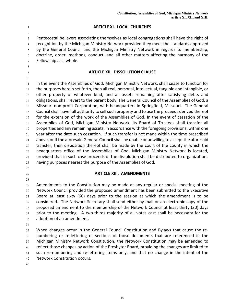#### **ARTICLE XI. LOCAL CHURCHES**

 Pentecostal believers associating themselves as local congregations shall have the right of recognition by the Michigan Ministry Network provided they meet the standards approved by the General Council and the Michigan Ministry Network in regards to membership, doctrine, order, methods, conduct, and all other matters affecting the harmony of the Fellowship as a whole.

**ARTICLE XII. DISSOLUTION CLAUSE**

 In the event the Assemblies of God, Michigan Ministry Network, shall cease to function for the purposes herein set forth, then all real, personal, intellectual, tangible and intangible, or other property of whatever kind, and all assets remaining after satisfying debts and obligations, shall revert to the parent body, The General Council of the Assemblies of God, a Missouri non-profit Corporation, with headquarters in Springfield, Missouri. The General 16 Council shall have full authority to sell such property and to use the proceeds derived thereof for the extension of the work of the Assemblies of God. In the event of cessation of the Assemblies of God, Michigan Ministry Network, its Board of Trustees shall transfer all properties and any remaining assets, in accordance with the foregoing provisions, within one year after the date such cessation. If such transfer is not made within the time prescribed 21 above, or if the aforesaid General Council shall be unable or unwilling to accept the aforesaid 22 transfer, then disposition thereof shall be made by the court of the county in which the headquarters office of the Assemblies of God, Michigan Ministry Network is located, provided that in such case proceeds of the dissolution shall be distributed to organizations 25 having purposes nearest the purpose of the Assemblies of God.

- 
- 

#### **ARTICLE XIII. AMENDMENTS**

 Amendments to the Constitution may be made at any regular or special meeting of the Network Council provided the proposed amendment has been submitted to the Executive Board at least sixty (60) days prior to the session at which the amendment is to be considered. The Network Secretary shall send either by mail or an electronic copy of the proposed amendment to the membership of the Network Council at least thirty (30) days prior to the meeting. A two-thirds majority of all votes cast shall be necessary for the adoption of an amendment.

 When changes occur in the General Council Constitution and Bylaws that cause the re- numbering or re-lettering of sections of those documents that are referenced in the Michigan Ministry Network Constitution, the Network Constitution may be amended to reflect those changes by action of the Presbyter Board, providing the changes are limited to such re-numbering and re-lettering items only, and that no change in the intent of the Network Constitution occurs.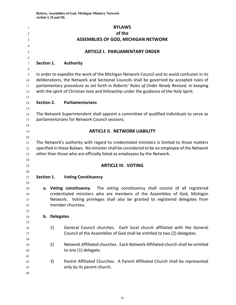| 1        |              | <b>BYLAWS</b>                                                                               |
|----------|--------------|---------------------------------------------------------------------------------------------|
| 2        |              | of the                                                                                      |
| 3        |              | <b>ASSEMBLIES OF GOD, MICHIGAN NETWORK</b>                                                  |
| 4<br>5   |              | <b>ARTICLE I. PARLIAMENTARY ORDER</b>                                                       |
| 6        |              |                                                                                             |
| 7        | Section 1.   | <b>Authority</b>                                                                            |
| 8        |              | In order to expedite the work of the Michigan Network Council and to avoid confusion in its |
| 9<br>10  |              | deliberations, the Network and Sectional Councils shall be governed by accepted rules of    |
| 11       |              | parliamentary procedure as set forth in Roberts' Rules of Order Newly Revised, in keeping   |
| 12       |              | with the spirit of Christian love and fellowship under the guidance of the Holy Spirit.     |
| 13       |              |                                                                                             |
| 14       | Section 2.   | Parliamentarians                                                                            |
| 15       |              |                                                                                             |
| 16       |              | The Network Superintendent shall appoint a committee of qualified individuals to serve as   |
| 17       |              | parliamentarians for Network Council sessions.                                              |
| 18<br>19 |              | <b>ARTICLE II. NETWORK LIABILITY</b>                                                        |
| 20       |              |                                                                                             |
| 21       |              | The Network's authority with regard to credentialed ministers is limited to those matters   |
| 22       |              | specified in these Bylaws. No minister shall be considered to be an employee of the Network |
| 23       |              | other than those who are officially listed as employees by the Network.                     |
| 24       |              |                                                                                             |
| 25       |              | <b>ARTICLE III. VOTING</b>                                                                  |
| 26<br>27 | Section 1.   | <b>Voting Constituency</b>                                                                  |
| 28       |              |                                                                                             |
| 29       |              | a. Voting constituency. The voting constituency shall consist of all registered             |
| 30       |              | credentialed ministers who are members of the Assemblies of God, Michigan                   |
| 31       |              | Network. Voting privileges shall also be granted to registered delegates from               |
| 32       |              | member churches.                                                                            |
| 33       |              |                                                                                             |
| 34       | b. Delegates |                                                                                             |
| 35<br>36 | 1)           | General Council churches. Each local church affiliated with the General                     |
| 37       |              | Council of the Assemblies of God shall be entitled to two (2) delegates.                    |
| 38       |              |                                                                                             |
| 39       | 2)           | Network Affiliated churches. Each Network Affiliated church shall be entitled               |
| 40       |              | to one (1) delegate.                                                                        |
| 41       |              |                                                                                             |
| 42       | 3)           | Parent Affiliated Churches. A Parent Affiliated Church shall be represented                 |
| 43       |              | only by its parent church.                                                                  |
| 44       |              |                                                                                             |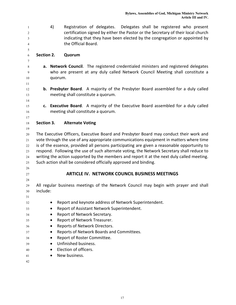- 4) Registration of delegates. Delegates shall be registered who present certification signed by either the Pastor or the Secretary of their local church indicating that they have been elected by the congregation or appointed by the Official Board.
- **Section 2. Quorum**
- **a. Network Council**. The registered credentialed ministers and registered delegates who are present at any duly called Network Council Meeting shall constitute a quorum.
- **b. Presbyter Board**. A majority of the Presbyter Board assembled for a duly called meeting shall constitute a quorum.
- **c. Executive Board**. A majority of the Executive Board assembled for a duly called meeting shall constitute a quorum.
- 

**Section 3. Alternate Voting**

 The Executive Officers, Executive Board and Presbyter Board may conduct their work and vote through the use of any appropriate communications equipment in matters where time is of the essence, provided all persons participating are given a reasonable opportunity to respond. Following the use of such alternate voting, the Network Secretary shall reduce to 24 writing the action supported by the members and report it at the next duly called meeting. 25 Such action shall be considered officially approved and binding.

- 
- 

### **ARTICLE IV. NETWORK COUNCIL BUSINESS MEETINGS**

 All regular business meetings of the Network Council may begin with prayer and shall include:

- Report and keynote address of Network Superintendent.
- Report of Assistant Network Superintendent.
- Report of Network Secretary.
- Report of Network Treasurer.
- Reports of Network Directors.
- Reports of Network Boards and Committees.
- Report of Roster Committee.
- Unfinished business.
- Election of officers.
- 41 New business.
-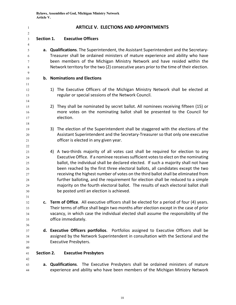| $\mathbf{1}$                                       |            | <b>ARTICLE V. ELECTIONS AND APPOINTMENTS</b>                                                                                                                                                                                                                                                                                                                                                                                                                                                                                                                                                                                                                    |
|----------------------------------------------------|------------|-----------------------------------------------------------------------------------------------------------------------------------------------------------------------------------------------------------------------------------------------------------------------------------------------------------------------------------------------------------------------------------------------------------------------------------------------------------------------------------------------------------------------------------------------------------------------------------------------------------------------------------------------------------------|
| $\overline{c}$                                     |            |                                                                                                                                                                                                                                                                                                                                                                                                                                                                                                                                                                                                                                                                 |
| 3                                                  | Section 1. | <b>Executive Officers</b>                                                                                                                                                                                                                                                                                                                                                                                                                                                                                                                                                                                                                                       |
| 4<br>5<br>6<br>7<br>8                              |            | a. Qualifications. The Superintendent, the Assistant Superintendent and the Secretary-<br>Treasurer shall be ordained ministers of mature experience and ability who have<br>been members of the Michigan Ministry Network and have resided within the<br>Network territory for the two (2) consecutive years prior to the time of their election.                                                                                                                                                                                                                                                                                                              |
| 9<br>10                                            |            | b. Nominations and Elections                                                                                                                                                                                                                                                                                                                                                                                                                                                                                                                                                                                                                                    |
| 11<br>12<br>13<br>14                               |            | 1) The Executive Officers of the Michigan Ministry Network shall be elected at<br>regular or special sessions of the Network Council.                                                                                                                                                                                                                                                                                                                                                                                                                                                                                                                           |
| 15<br>16<br>17                                     |            | They shall be nominated by secret ballot. All nominees receiving fifteen (15) or<br>2)<br>more votes on the nominating ballot shall be presented to the Council for<br>election.                                                                                                                                                                                                                                                                                                                                                                                                                                                                                |
| 18<br>19<br>20<br>21                               |            | 3) The election of the Superintendent shall be staggered with the elections of the<br>Assistant Superintendent and the Secretary-Treasurer so that only one executive<br>officer is elected in any given year.                                                                                                                                                                                                                                                                                                                                                                                                                                                  |
| 22<br>23<br>24<br>25<br>26<br>27<br>28<br>29<br>30 |            | 4) A two-thirds majority of all votes cast shall be required for election to any<br>Executive Office. If a nominee receives sufficient votes to elect on the nominating<br>ballot, the individual shall be declared elected. If such a majority shall not have<br>been reached by the first three electoral ballots, all candidates except the two<br>receiving the highest number of votes on the third ballot shall be eliminated from<br>further balloting, and the requirement for election shall be reduced to a simple<br>majority on the fourth electoral ballot. The results of each electoral ballot shall<br>be posted until an election is achieved. |
| 31<br>32<br>33<br>34<br>35                         |            | c. Term of Office. All executive officers shall be elected for a period of four (4) years.<br>Their terms of office shall begin two months after election except in the case of prior<br>vacancy, in which case the individual elected shall assume the responsibility of the<br>office immediately.                                                                                                                                                                                                                                                                                                                                                            |
| 36<br>37<br>38<br>39                               |            | d. Executive Officers portfolios. Portfolios assigned to Executive Officers shall be<br>assigned by the Network Superintendent in consultation with the Sectional and the<br><b>Executive Presbyters.</b>                                                                                                                                                                                                                                                                                                                                                                                                                                                       |
| 40<br>41                                           | Section 2. | <b>Executive Presbyters</b>                                                                                                                                                                                                                                                                                                                                                                                                                                                                                                                                                                                                                                     |
| 42                                                 |            |                                                                                                                                                                                                                                                                                                                                                                                                                                                                                                                                                                                                                                                                 |
| 43<br>44                                           | a.         | <b>Qualifications.</b> The Executive Presbyters shall be ordained ministers of mature<br>experience and ability who have been members of the Michigan Ministry Network                                                                                                                                                                                                                                                                                                                                                                                                                                                                                          |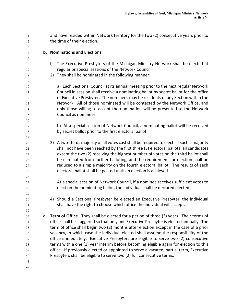| $\mathbf{1}$<br>2 |    |               | and have resided within Network territory for the two (2) consecutive years prior to<br>the time of their election.                                                                      |
|-------------------|----|---------------|------------------------------------------------------------------------------------------------------------------------------------------------------------------------------------------|
| 3<br>4            |    |               | b. Nominations and Elections                                                                                                                                                             |
| 5<br>6<br>7<br>8  |    | $\vert$<br>2) | The Executive Presbyters of the Michigan Ministry Network shall be elected at<br>regular or special sessions of the Network Council.<br>They shall be nominated in the following manner: |
| 9                 |    |               |                                                                                                                                                                                          |
| 10                |    |               | a) Each Sectional Council at its annual meeting prior to the next regular Network                                                                                                        |
| 11                |    |               | Council in session shall receive a nominating ballot by secret ballot for the office<br>of Executive Presbyter. The nominees may be residents of any Section within the                  |
| 12<br>13          |    |               | Network. All of those nominated will be contacted by the Network Office, and                                                                                                             |
| 14                |    |               | only those willing to accept the nomination will be presented to the Network                                                                                                             |
| 15                |    |               | Council as nominees.                                                                                                                                                                     |
| 16                |    |               |                                                                                                                                                                                          |
| 17                |    |               | b) At a special session of Network Council, a nominating ballot will be received                                                                                                         |
| 18                |    |               | by secret ballot prior to the first electoral ballot.                                                                                                                                    |
| 19                |    |               |                                                                                                                                                                                          |
| 20                |    |               | 3) A two-thirds majority of all votes cast shall be required to elect. If such a majority                                                                                                |
| 21                |    |               | shall not have been reached by the first three (3) electoral ballots, all candidates                                                                                                     |
| 22                |    |               | except the two (2) receiving the highest number of votes on the third ballot shall                                                                                                       |
| 23                |    |               | be eliminated from further balloting, and the requirement for election shall be                                                                                                          |
| 24                |    |               | reduced to a simple majority on the fourth electoral ballot. The results of each                                                                                                         |
| 25                |    |               | electoral ballot shall be posted until an election is achieved.                                                                                                                          |
| 26                |    |               |                                                                                                                                                                                          |
| 27                |    |               | At a special session of Network Council, if a nominee receives sufficient votes to                                                                                                       |
| 28                |    |               | elect on the nominating ballot, the individual shall be declared elected.                                                                                                                |
| 29                |    |               |                                                                                                                                                                                          |
| 30                |    |               | 4) Should a Sectional Presbyter be elected an Executive Presbyter, the individual                                                                                                        |
| 31                |    |               | shall have the right to choose which office the individual will accept.                                                                                                                  |
| 32                |    |               |                                                                                                                                                                                          |
| 33                | c. |               | <b>Term of Office.</b> They shall be elected for a period of three (3) years. Their terms of                                                                                             |
| 34                |    |               | office shall be staggered so that only one Executive Presbyter is elected annually. The                                                                                                  |
| 35                |    |               | term of office shall begin two (2) months after election except in the case of a prior                                                                                                   |
| 36                |    |               | vacancy, in which case the individual elected shall assume the responsibility of the                                                                                                     |
| 37                |    |               | office immediately. Executive Presbyters are eligible to serve two (2) consecutive                                                                                                       |
| 38                |    |               | terms with a one (1) year interim before becoming eligible again for election to this                                                                                                    |
| 39                |    |               | office. If previously elected or appointed to serve a vacated, partial term, Executive                                                                                                   |
| 40                |    |               | Presbyters shall be eligible to serve two (2) full consecutive terms.                                                                                                                    |
| 41                |    |               |                                                                                                                                                                                          |
| 42                |    |               |                                                                                                                                                                                          |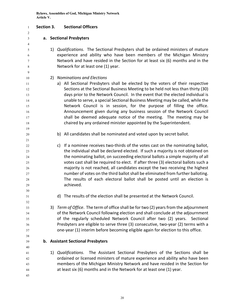**Bylaws, Assemblies of God, Michigan Ministry Network Article V.**

| $\mathbf{1}$                                             | Section 3. |  | <b>Sectional Officers</b>                                                                                                                                                                                                                                                                                                                                                                                                                                                                                                                                                                                                                                          |
|----------------------------------------------------------|------------|--|--------------------------------------------------------------------------------------------------------------------------------------------------------------------------------------------------------------------------------------------------------------------------------------------------------------------------------------------------------------------------------------------------------------------------------------------------------------------------------------------------------------------------------------------------------------------------------------------------------------------------------------------------------------------|
| 2<br>3                                                   |            |  | a. Sectional Presbyters                                                                                                                                                                                                                                                                                                                                                                                                                                                                                                                                                                                                                                            |
| 4<br>5<br>6<br>7<br>8<br>9                               |            |  | 1) Qualifications. The Sectional Presbyters shall be ordained ministers of mature<br>experience and ability who have been members of the Michigan Ministry<br>Network and have resided in the Section for at least six (6) months and in the<br>Network for at least one (1) year.                                                                                                                                                                                                                                                                                                                                                                                 |
| 10<br>11<br>12<br>13<br>14<br>15<br>16<br>17<br>18       |            |  | 2) Nominations and Elections<br>a) All Sectional Presbyters shall be elected by the voters of their respective<br>Sections at the Sectional Business Meeting to be held not less than thirty (30)<br>days prior to the Network Council. In the event that the elected individual is<br>unable to serve, a special Sectional Business Meeting may be called, while the<br>Network Council is in session, for the purpose of filling the office.<br>Announcement given during any business session of the Network Council<br>shall be deemed adequate notice of the meeting. The meeting may be<br>chaired by any ordained minister appointed by the Superintendent. |
| 19<br>20                                                 |            |  | b) All candidates shall be nominated and voted upon by secret ballot.                                                                                                                                                                                                                                                                                                                                                                                                                                                                                                                                                                                              |
| 21<br>22<br>23<br>24<br>25<br>26<br>27<br>28<br>29<br>30 |            |  | c) If a nominee receives two-thirds of the votes cast on the nominating ballot,<br>the individual shall be declared elected. If such a majority is not obtained on<br>the nominating ballot, on succeeding electoral ballots a simple majority of all<br>votes cast shall be required to elect. If after three (3) electoral ballots such a<br>majority is not reached, all candidates except the two receiving the highest<br>number of votes on the third ballot shall be eliminated from further balloting.<br>The results of each electoral ballot shall be posted until an election is<br>achieved.                                                           |
| 31<br>32                                                 |            |  | d) The results of the election shall be presented at the Network Council.                                                                                                                                                                                                                                                                                                                                                                                                                                                                                                                                                                                          |
| 33<br>34<br>35<br>36<br>37                               |            |  | 3) Term of Office. The term of office shall be for two (2) years from the adjournment<br>of the Network Council following election and shall conclude at the adjournment<br>of the regularly scheduled Network Council after two (2) years. Sectional<br>Presbyters are eligible to serve three (3) consecutive, two-year (2) terms with a<br>one-year (1) interim before becoming eligible again for election to this office.                                                                                                                                                                                                                                     |
| 38<br>39                                                 |            |  | b. Assistant Sectional Presbyters                                                                                                                                                                                                                                                                                                                                                                                                                                                                                                                                                                                                                                  |
| 40<br>41<br>42<br>43<br>44<br>45                         |            |  | The Assistant Sectional Presbyters of the Sections shall be<br>1) Qualifications.<br>ordained or licensed ministers of mature experience and ability who have been<br>members of the Michigan Ministry Network and have resided in the Section for<br>at least six (6) months and in the Network for at least one (1) year.                                                                                                                                                                                                                                                                                                                                        |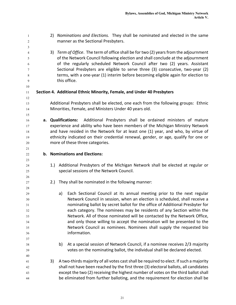2) *Nominations and Elections.* They shall be nominated and elected in the same manner as the Sectional Presbyters. 3) *Term of Office*. The term of office shall be for two (2) yearsfrom the adjournment of the Network Council following election and shall conclude at the adjournment of the regularly scheduled Network Council after two (2) years. Assistant Sectional Presbyters are eligible to serve three (3) consecutive, two-year (2) terms, with a one-year (1) interim before becoming eligible again for election to this office. **Section 4. Additional Ethnic Minority, Female, and Under 40 Presbyters** Additional Presbyters shall be elected, one each from the following groups: Ethnic Minorities, Female, and Ministers Under 40 years old. **a. Qualifications:** Additional Presbyters shall be ordained ministers of mature experience and ability who have been members of the Michigan Ministry Network and have resided in the Network for at least one (1) year, and who, by virtue of ethnicity indicated on their credential renewal, gender, or age, qualify for one or more of these three categories. **b. Nominations and Elections:** 1.) Additional Presbyters of the Michigan Network shall be elected at regular or special sessions of the Network Council. 2.) They shall be nominated in the following manner: a) Each Sectional Council at its annual meeting prior to the next regular Network Council in session, when an election is scheduled, shall receive a nominating ballot by secret ballot for the office of Additional Presbyter for each category. The nominees may be residents of any Section within the Network. All of those nominated will be contacted by the Network Office, and only those willing to accept the nomination will be presented to the Network Council as nominees. Nominees shall supply the requested bio information. b) At a special session of Network Council, if a nominee receives 2/3 majority votes on the nominating ballot, the individual shall be declared elected. 3) A two-thirds majority of all votes castshall be required to elect. Ifsuch a majority shall not have been reached by the first three (3) electoral ballots, all candidates except the two (2) receiving the highest number of votes on the third ballot shall be eliminated from further balloting, and the requirement for election shall be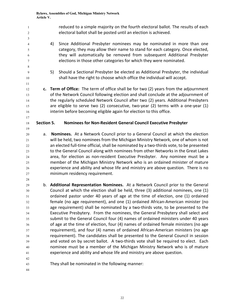| reduced to a simple majority on the fourth electoral ballot. The results of each |
|----------------------------------------------------------------------------------|
| electoral ballot shall be posted until an election is achieved.                  |
|                                                                                  |

- 4) Since Additional Presbyter nominees may be nominated in more than one category, they may allow their name to stand for each category. Once elected, they will automatically be removed from subsequent Additional Presbyter elections in those other categories for which they were nominated.
- 5) Should a Sectional Presbyter be elected as Additional Presbyter, the individual shall have the right to choose which office the individual will accept.
- **c. Term of Office:** The term of office shall be for two (2) years from the adjournment of the Network Council following election and shall conclude at the adjournment of the regularly scheduled Network Council after two (2) years. Additional Presbyters are eligible to serve two (2) consecutive, two-year (2) terms with a one-year (1) interim before becoming eligible again for election to this office.
- 

### **Section 5. Nominees for Non-Resident General Council Executive Presbyter**

- a. **Nominees.** At a Network Council prior to a General Council at which the election will be held, two nominees from the Michigan Ministry Network, one of whom is not an elected full-time official, shall be nominated by a two-thirds vote, to be presented to the General Council along with nominees from other Networks in the Great Lakes area, for election as non-resident Executive Presbyter. Any nominee must be a member of the Michigan Ministry Network who is an ordained minister of mature experience and ability and whose life and ministry are above question. There is no minimum residency requirement.
- 
- b. **Additional Representation Nominees.** At a Network Council prior to the General Council at which the election shall be held, three (3) additional nominees, one (1) ordained pastor under 40 years of age at the time of election, one (1) ordained female (no age requirement), and one (1) ordained African-American minister (no age requirement) shall be nominated by a two-thirds vote, to be presented to the Executive Presbytery. From the nominees, the General Presbytery shall select and submit to the General Council four (4) names of ordained ministers under 40 years of age at the time of election, four (4) names of ordained female ministers (no age requirement), and four (4) names of ordained African-American ministers (no age requirement). The candidates shall be presented to the General Council in session and voted on by secret ballot. A two-thirds vote shall be required to elect. Each nominee must be a member of the Michigan Ministry Network who is of mature experience and ability and whose life and ministry are above question.
- They shall be nominated in the following manner: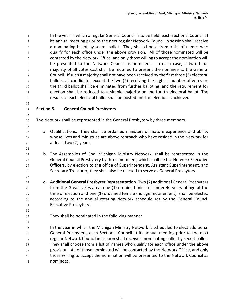In the year in which a regular General Council is to be held, each Sectional Council at its annual meeting prior to the next regular Network Council in session shall receive a nominating ballot by secret ballot. They shall choose from a list of names who qualify for each office under the above provision. All of those nominated will be contacted by the Network Office, and only those willing to accept the nomination will be presented to the Network Council as nominees. In each case, a two-thirds majority of all votes cast shall be required to present the nominee to the General Council. Ifsuch a majority shall not have been received by the first three (3) electoral ballots, all candidates except the two (2) receiving the highest number of votes on the third ballot shall be eliminated from further balloting, and the requirement for election shall be reduced to a simple majority on the fourth electoral ballot. The results of each electoral ballot shall be posted until an election is achieved.

- 
- 

### **Section 6. General Council Presbyters**

- The Network shall be represented in the General Presbytery by three members.
- **a**. Qualifications. They shall be ordained ministers of mature experience and ability whose lives and ministries are above reproach who have resided in the Network for at least two (2) years.
- **b.** The Assemblies of God, Michigan Ministry Network, shall be represented in the General Council Presbytery by three members, which shall be the Network Executive Officers, by election to the office of Superintendent, Assistant Superintendent, and Secretary-Treasurer, they shall also be elected to serve as General Presbyters.
- **c. Additional General Presbyter Representation.** Two (2) additional General Presbyters from the Great Lakes area, one (1) ordained minister under 40 years of age at the time of election and one (1) ordained female (no age requirement), shall be elected according to the annual rotating Network schedule set by the General Council Executive Presbytery.
- They shall be nominated in the following manner:
- In the year in which the Michigan Ministry Network is scheduled to elect additional General Presbyters, each Sectional Council at its annual meeting prior to the next regular Network Council in session shall receive a nominating ballot by secret ballot. They shall choose from a list of names who qualify for each office under the above provision. All of those nominated will be contacted by the Network Office, and only those willing to accept the nomination will be presented to the Network Council as nominees.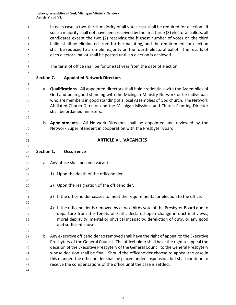| 1<br>2<br>3                      |                                                                                      | In each case, a two-thirds majority of all votes cast shall be required for election. If<br>such a majority shall not have been received by the first three (3) electoral ballots, all<br>candidates except the two (2) receiving the highest number of votes on the third                                                                                                             |  |  |
|----------------------------------|--------------------------------------------------------------------------------------|----------------------------------------------------------------------------------------------------------------------------------------------------------------------------------------------------------------------------------------------------------------------------------------------------------------------------------------------------------------------------------------|--|--|
| 4                                |                                                                                      | ballot shall be eliminated from further balloting, and the requirement for election                                                                                                                                                                                                                                                                                                    |  |  |
| 5                                | shall be reduced to a simple majority on the fourth electoral ballot. The results of |                                                                                                                                                                                                                                                                                                                                                                                        |  |  |
| 6                                |                                                                                      | each electoral ballot shall be posted until an election is achieved.                                                                                                                                                                                                                                                                                                                   |  |  |
| 7                                |                                                                                      |                                                                                                                                                                                                                                                                                                                                                                                        |  |  |
| 8<br>9                           |                                                                                      | The term of office shall be for one (1) year from the date of election.                                                                                                                                                                                                                                                                                                                |  |  |
| 10<br>11                         | Section 7.                                                                           | <b>Appointed Network Directors</b>                                                                                                                                                                                                                                                                                                                                                     |  |  |
| 12<br>13<br>14<br>15<br>16<br>17 |                                                                                      | a. Qualifications. All appointed directors shall hold credentials with the Assemblies of<br>God and be in good standing with the Michigan Ministry Network or be individuals<br>who are members in good standing of a local Assemblies of God church. The Network<br>Affiliated Church Director and the Michigan Missions and Church Planting Director<br>shall be ordained ministers. |  |  |
| 18<br>19<br>20                   |                                                                                      | <b>b.</b> Appointments. All Network Directors shall be appointed and reviewed by the<br>Network Superintendent in cooperation with the Presbyter Board.                                                                                                                                                                                                                                |  |  |
| 21                               |                                                                                      | <b>ARTICLE VI. VACANCIES</b>                                                                                                                                                                                                                                                                                                                                                           |  |  |
| 22<br>23                         | Section 1.                                                                           | <b>Occurrence</b>                                                                                                                                                                                                                                                                                                                                                                      |  |  |
| 24<br>25<br>26                   |                                                                                      | a. Any office shall become vacant:                                                                                                                                                                                                                                                                                                                                                     |  |  |
| 27<br>28                         |                                                                                      | 1) Upon the death of the officeholder.                                                                                                                                                                                                                                                                                                                                                 |  |  |
| 29<br>30                         |                                                                                      | 2) Upon the resignation of the officeholder.                                                                                                                                                                                                                                                                                                                                           |  |  |
| 31<br>32                         |                                                                                      | 3) If the officeholder ceases to meet the requirements for election to the office.                                                                                                                                                                                                                                                                                                     |  |  |
| 33                               |                                                                                      | 4) If the officeholder is removed by a two-thirds vote of the Presbyter Board due to                                                                                                                                                                                                                                                                                                   |  |  |
| 34                               |                                                                                      | departure from the Tenets of Faith, declared open change in doctrinal views,                                                                                                                                                                                                                                                                                                           |  |  |
| 35                               |                                                                                      | moral depravity, mental or physical incapacity, dereliction of duty, or any good                                                                                                                                                                                                                                                                                                       |  |  |
| 36                               |                                                                                      | and sufficient cause.                                                                                                                                                                                                                                                                                                                                                                  |  |  |
| 37                               |                                                                                      |                                                                                                                                                                                                                                                                                                                                                                                        |  |  |
| 38                               |                                                                                      | b. Any executive officeholder so removed shall have the right of appeal to the Executive                                                                                                                                                                                                                                                                                               |  |  |
| 39                               |                                                                                      | Presbytery of the General Council. The officeholder shall have the right to appeal the                                                                                                                                                                                                                                                                                                 |  |  |
| 40                               |                                                                                      | decision of the Executive Presbytery of the General Council to the General Presbytery                                                                                                                                                                                                                                                                                                  |  |  |
| 41                               |                                                                                      | whose decision shall be final. Should the officeholder choose to appeal the case in                                                                                                                                                                                                                                                                                                    |  |  |
| 42                               |                                                                                      | this manner, the officeholder shall be placed under suspension, but shall continue to                                                                                                                                                                                                                                                                                                  |  |  |
| 43                               |                                                                                      | receive the compensations of the office until the case is settled.                                                                                                                                                                                                                                                                                                                     |  |  |
| 44                               |                                                                                      |                                                                                                                                                                                                                                                                                                                                                                                        |  |  |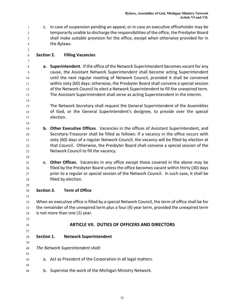- c. In case of suspension pending an appeal, or in case an executive officeholder may be temporarily unable to discharge the responsibilities of the office, the Presbyter Board shall make suitable provision for the office, except when otherwise provided for in the Bylaws.
- **Section 2. Filling Vacancies**
- **a. Superintendent**. If the office of the Network Superintendent becomes vacant for any cause, the Assistant Network Superintendent shall become acting Superintendent until the next regular meeting of Network Council, provided it shall be convened within sixty (60) days; otherwise, the Presbyter Board shall convene a special session 12 of the Network Council to elect a Network Superintendent to fill the unexpired term. The Assistant Superintendent shall serve as acting Superintendent in the interim.
- The Network Secretary shall request the General Superintendent of the Assemblies of God, or the General Superintendent's designee, to preside over the special election.
- **b. Other Executive Offices**. Vacancies in the offices of Assistant Superintendent, and Secretary-Treasurer shall be filled as follows: If a vacancy in the office occurs with sixty (60) days of a regular Network Council, the vacancy will be filled by election at that Council. Otherwise, the Presbyter Board shall convene a special session of the Network Council to fill the vacancy.
- **c. Other Offices**. Vacancies in any office except those covered in the above may be filled by the Presbyter Board unless the office becomes vacant within thirty (30) days 27 prior to a regular or special session of the Network Council. In such case, it shall be filled by election.
- 

**Section 3. Term of Office**

 When an executive office is filled by a special Network Council, the term of office shall be for the remainder of the unexpired term plus a four (4) year term, provided the unexpired term is not more than one (1) year.

- 
- 

### **ARTICLE VII. DUTIES OF OFFICERS AND DIRECTORS**

- **Section 1. Network Superintendent**
- *The Network Superintendent shall*:
- a. Act as President of the Corporation in all legal matters.
- 
- b. Supervise the work of the Michigan Ministry Network.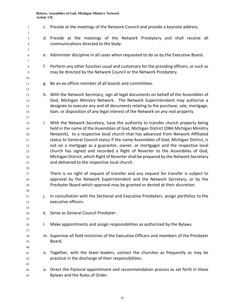#### **Bylaws, Assemblies of God, Michigan Ministry Network Article VII.**

| $\mathbf{1}$<br>2 |    | c. Preside at the meetings of the Network Council and provide a keynote address.         |
|-------------------|----|------------------------------------------------------------------------------------------|
| 3                 |    | d. Preside at the meetings of the Network Presbytery and shall receive all               |
| 4                 |    | communications directed to the body.                                                     |
| 5                 |    |                                                                                          |
| 6                 |    | e. Administer discipline in all cases when requested to do so by the Executive Board.    |
| 7                 |    |                                                                                          |
| 8                 | f. | Perform any other function usual and customary for the presiding officers, or such as    |
| 9                 |    | may be directed by the Network Council or the Network Presbytery.                        |
| 10                |    |                                                                                          |
| 11                | g. | Be an ex-officio member of all boards and committees.                                    |
| 12                |    |                                                                                          |
| 13                |    | h. With the Network Secretary, sign all legal documents on behalf of the Assemblies of   |
| 14                |    | God, Michigan Ministry Network. The Network Superintendent may authorize a               |
| 15                |    | designee to execute any and all documents relating to the purchase, sale, mortgage,      |
| 16                |    | loan, or disposition of any legal interest of the Network on any real property.          |
| 17                |    |                                                                                          |
| 18                | i. | With the Network Secretary, have the authority to transfer church property being         |
| 19                |    | held in the name of the Assemblies of God, Michigan District (DBA Michigan Ministry      |
| 20                |    | Network), to a respective local church that has advanced from Network Affiliated         |
| 21                |    | status to General Council status if the name Assemblies of God, Michigan District, is    |
| 22                |    | not on a mortgage as a guarantor, owner, or mortgagor and the respective local           |
| 23                |    | church has signed and recorded a Right of Reverter to the Assemblies of God,             |
| 24                |    | Michigan District, which Right of Reverter shall be prepared by the Network Secretary    |
| 25                |    | and delivered to the respective local church.                                            |
| 26                |    |                                                                                          |
| 27                |    | There is no right of request of transfer and any request for transfer is subject to      |
| 28                |    | approval by the Network Superintendent and the Network Secretary, or by the              |
| 29                |    | Presbyter Board which approval may be granted or denied at their discretion.             |
| 30                |    |                                                                                          |
| 31                |    | j. In consultation with the Sectional and Executive Presbyters, assign portfolios to the |
| 32                |    | executive officers.                                                                      |
| 33                |    |                                                                                          |
| 34                |    | k. Serve as General Council Presbyter.                                                   |
| 35                |    |                                                                                          |
| 36                | I. | Make appointments and assign responsibilities as authorized by the Bylaws.               |
| 37                |    |                                                                                          |
| 38                |    | m. Supervise all field ministries of the Executive Officers and members of the Presbyter |
| 39                |    | Board.                                                                                   |
| 40                |    |                                                                                          |
| 41                | n. | Together, with the team leaders, contact the churches as frequently as may be            |
| 42                |    | practical in the discharge of their responsibilities.                                    |
| 43                |    |                                                                                          |
| 44                |    | o. Direct the Pastoral appointment and recommendation process as set forth in these      |
| 45                |    | Bylaws and the Rules of Order.                                                           |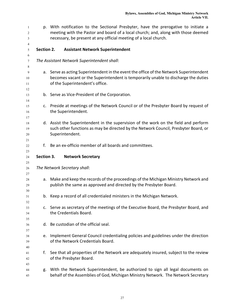| $\mathbf{1}$<br>2<br>3 |            | p. With notification to the Sectional Presbyter, have the prerogative to initiate a<br>meeting with the Pastor and board of a local church; and, along with those deemed<br>necessary, be present at any official meeting of a local church. |
|------------------------|------------|----------------------------------------------------------------------------------------------------------------------------------------------------------------------------------------------------------------------------------------------|
| 4<br>5<br>6            | Section 2. | <b>Assistant Network Superintendent</b>                                                                                                                                                                                                      |
| 7<br>8                 |            | The Assistant Network Superintendent shall:                                                                                                                                                                                                  |
| 9<br>10<br>11<br>12    |            | a. Serve as acting Superintendent in the event the office of the Network Superintendent<br>becomes vacant or the Superintendent is temporarily unable to discharge the duties<br>of the Superintendent's office.                             |
| 13<br>14               |            | b. Serve as Vice-President of the Corporation.                                                                                                                                                                                               |
| 15<br>16<br>17         |            | c. Preside at meetings of the Network Council or of the Presbyter Board by request of<br>the Superintendent.                                                                                                                                 |
| 18<br>19<br>20<br>21   |            | d. Assist the Superintendent in the supervision of the work on the field and perform<br>such other functions as may be directed by the Network Council, Presbyter Board, or<br>Superintendent.                                               |
| 22<br>23               | f.         | Be an ex-officio member of all boards and committees.                                                                                                                                                                                        |
| 24<br>25               | Section 3. | <b>Network Secretary</b>                                                                                                                                                                                                                     |
| 26<br>27               |            | The Network Secretary shall:                                                                                                                                                                                                                 |
| 28<br>29<br>30         | a.         | Make and keep the records of the proceedings of the Michigan Ministry Network and<br>publish the same as approved and directed by the Presbyter Board.                                                                                       |
| 31<br>32               |            | b. Keep a record of all credentialed ministers in the Michigan Network.                                                                                                                                                                      |
| 33<br>34<br>35         |            | c. Serve as secretary of the meetings of the Executive Board, the Presbyter Board, and<br>the Credentials Board.                                                                                                                             |
| 36<br>37               |            | d. Be custodian of the official seal.                                                                                                                                                                                                        |
|                        |            |                                                                                                                                                                                                                                              |
| 38<br>39               |            | e. Implement General Council credentialing policies and guidelines under the direction<br>of the Network Credentials Board.                                                                                                                  |
| 40<br>41<br>42<br>43   | f.         | See that all properties of the Network are adequately insured, subject to the review<br>of the Presbyter Board.                                                                                                                              |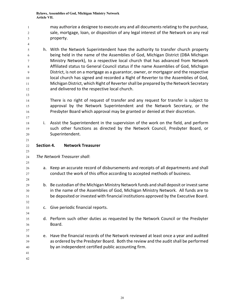- may authorize a designee to execute any and all documents relating to the purchase, sale, mortgage, loan, or disposition of any legal interest of the Network on any real property.
- h. With the Network Superintendent have the authority to transfer church property being held in the name of the Assemblies of God, Michigan District (DBA Michigan Ministry Network), to a respective local church that has advanced from Network Affiliated status to General Council status if the name Assemblies of God, Michigan District, is not on a mortgage as a guarantor, owner, or mortgagor and the respective local church has signed and recorded a Right of Reverter to the Assemblies of God, Michigan District, which Right of Revertershall be prepared by the Network Secretary and delivered to the respective local church.
- There is no right of request of transfer and any request for transfer is subject to approval by the Network Superintendent and the Network Secretary, or the Presbyter Board which approval may be granted or denied at their discretion.
- 

- 
- i. Assist the Superintendent in the supervision of the work on the field, and perform such other functions as directed by the Network Council, Presbyter Board, or Superintendent.
- 

### **Section 4. Network Treasurer**

- *The Network Treasurer shall*:
- 

- a. Keep an accurate record of disbursements and receipts of all departments and shall conduct the work of this office according to accepted methods of business.
- b. Be custodian of the Michigan Ministry Network funds and shall deposit orinvestsame in the name of the Assemblies of God, Michigan Ministry Network. All funds are to be deposited or invested with financial institutions approved by the Executive Board.
- c. Give periodic financial reports.
- d. Perform such other duties as requested by the Network Council or the Presbyter Board.
- e. Have the financial records of the Network reviewed at least once a year and audited as ordered by the Presbyter Board. Both the review and the auditshall be performed by an independent certified public accounting firm.
- 
-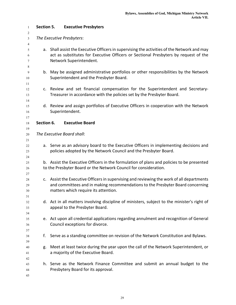| 1                     | Section 5. | <b>Executive Presbyters</b>                                                                                                                                                                                         |  |  |  |
|-----------------------|------------|---------------------------------------------------------------------------------------------------------------------------------------------------------------------------------------------------------------------|--|--|--|
| 2<br>3                |            | The Executive Presbyters:                                                                                                                                                                                           |  |  |  |
| 4<br>5<br>6<br>7<br>8 |            | a. Shall assist the Executive Officers in supervising the activities of the Network and may<br>act as substitutes for Executive Officers or Sectional Presbyters by request of the<br>Network Superintendent.       |  |  |  |
| 9<br>10<br>11         |            | b. May be assigned administrative portfolios or other responsibilities by the Network<br>Superintendent and the Presbyter Board.                                                                                    |  |  |  |
| 12<br>13              |            | c. Review and set financial compensation for the Superintendent and Secretary-<br>Treasurer in accordance with the policies set by the Presbyter Board.                                                             |  |  |  |
| 14<br>15<br>16        |            | d. Review and assign portfolios of Executive Officers in cooperation with the Network<br>Superintendent.                                                                                                            |  |  |  |
| 17<br>18              | Section 6. | <b>Executive Board</b>                                                                                                                                                                                              |  |  |  |
| 19<br>20<br>21        |            | The Executive Board shall:                                                                                                                                                                                          |  |  |  |
| 22<br>23<br>24        |            | a. Serve as an advisory board to the Executive Officers in implementing decisions and<br>policies adopted by the Network Council and the Presbyter Board.                                                           |  |  |  |
| 25<br>26              |            | b. Assist the Executive Officers in the formulation of plans and policies to be presented<br>to the Presbyter Board or the Network Council for consideration.                                                       |  |  |  |
| 27<br>28<br>29<br>30  |            | c. Assist the Executive Officers in supervising and reviewing the work of all departments<br>and committees and in making recommendations to the Presbyter Board concerning<br>matters which require its attention. |  |  |  |
| 31<br>32<br>33        |            | d. Act in all matters involving discipline of ministers, subject to the minister's right of<br>appeal to the Presbyter Board.                                                                                       |  |  |  |
| 34<br>35<br>36        |            | e. Act upon all credential applications regarding annulment and recognition of General<br>Council exceptions for divorce.                                                                                           |  |  |  |
| 37<br>38<br>39        | f.         | Serve as a standing committee on revision of the Network Constitution and Bylaws.                                                                                                                                   |  |  |  |
| 40<br>41              | g.         | Meet at least twice during the year upon the call of the Network Superintendent, or<br>a majority of the Executive Board.                                                                                           |  |  |  |
| 42<br>43<br>44<br>45  |            | h. Serve as the Network Finance Committee and submit an annual budget to the<br>Presbytery Board for its approval.                                                                                                  |  |  |  |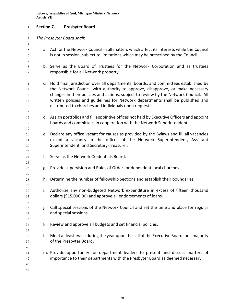**Bylaws, Assemblies of God, Michigan Ministry Network Article VII.**

| $\mathbf{1}$                     | Section 7. | <b>Presbyter Board</b>                                                                                                                                                                                                                                                                                                                                                                                    |  |  |
|----------------------------------|------------|-----------------------------------------------------------------------------------------------------------------------------------------------------------------------------------------------------------------------------------------------------------------------------------------------------------------------------------------------------------------------------------------------------------|--|--|
| 2<br>3                           |            | The Presbyter Board shall:                                                                                                                                                                                                                                                                                                                                                                                |  |  |
| 4                                |            |                                                                                                                                                                                                                                                                                                                                                                                                           |  |  |
| 5<br>6<br>7                      |            | a. Act for the Network Council in all matters which affect its interests while the Council<br>is not in session, subject to limitations which may be prescribed by the Council.                                                                                                                                                                                                                           |  |  |
| 8<br>9<br>10                     |            | b. Serve as the Board of Trustees for the Network Corporation and as trustees<br>responsible for all Network property.                                                                                                                                                                                                                                                                                    |  |  |
| 11<br>12<br>13<br>14<br>15<br>16 |            | c. Hold final jurisdiction over all departments, boards, and committees established by<br>the Network Council with authority to approve, disapprove, or make necessary<br>changes in their policies and actions, subject to review by the Network Council. All<br>written policies and guidelines for Network departments shall be published and<br>distributed to churches and individuals upon request. |  |  |
| 17<br>18<br>19                   |            | d. Assign portfolios and fill appointive offices not held by Executive Officers and appoint<br>boards and committees in cooperation with the Network Superintendent.                                                                                                                                                                                                                                      |  |  |
| 20<br>21<br>22                   |            | e. Declare any office vacant for causes as provided by the Bylaws and fill all vacancies<br>except a vacancy in the offices of the Network Superintendent, Assistant<br>Superintendent, and Secretary-Treasurer.                                                                                                                                                                                          |  |  |
| 23<br>24<br>25                   | f.         | Serve as the Network Credentials Board.                                                                                                                                                                                                                                                                                                                                                                   |  |  |
| 26<br>27                         | g.         | Provide supervision and Rules of Order for dependent local churches.                                                                                                                                                                                                                                                                                                                                      |  |  |
| 28<br>29                         | h.         | Determine the number of fellowship Sections and establish their boundaries.                                                                                                                                                                                                                                                                                                                               |  |  |
| 30<br>31<br>32                   | i.         | Authorize any non-budgeted Network expenditure in excess of fifteen thousand<br>dollars (\$15,000.00) and approve all endorsements of loans.                                                                                                                                                                                                                                                              |  |  |
| 33<br>34<br>35                   | j.         | Call special sessions of the Network Council and set the time and place for regular<br>and special sessions.                                                                                                                                                                                                                                                                                              |  |  |
| 36<br>37                         | k.         | Review and approve all budgets and set financial policies.                                                                                                                                                                                                                                                                                                                                                |  |  |
| 38<br>39<br>40                   | I.         | Meet at least twice during the year upon the call of the Executive Board, or a majority<br>of the Presbyter Board.                                                                                                                                                                                                                                                                                        |  |  |
| 41<br>42<br>43<br>44             |            | m. Provide opportunity for department leaders to present and discuss matters of<br>importance to their departments with the Presbyter Board as deemed necessary.                                                                                                                                                                                                                                          |  |  |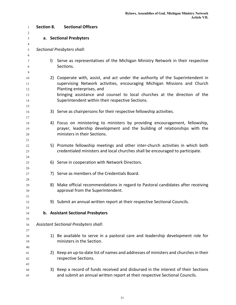| $\mathbf{1}$                     | Section 8. |         | <b>Sectional Officers</b>                                                                                                                                                                                                                                                                                                 |
|----------------------------------|------------|---------|---------------------------------------------------------------------------------------------------------------------------------------------------------------------------------------------------------------------------------------------------------------------------------------------------------------------------|
| 2                                |            |         |                                                                                                                                                                                                                                                                                                                           |
| 3<br>4                           |            |         | a. Sectional Presbyters                                                                                                                                                                                                                                                                                                   |
| 5<br>6                           |            |         | Sectional Presbyters shall:                                                                                                                                                                                                                                                                                               |
| 7<br>8<br>9                      |            | $\vert$ | Serve as representatives of the Michigan Ministry Network in their respective<br>Sections.                                                                                                                                                                                                                                |
| 10<br>11<br>12<br>13<br>14<br>15 |            |         | 2) Cooperate with, assist, and act under the authority of the Superintendent in<br>supervising Network activities, encouraging Michigan Missions and Church<br>Planting enterprises, and<br>bringing assistance and counsel to local churches at the direction of the<br>Superintendent within their respective Sections. |
| 16<br>17                         |            |         | 3) Serve as chairpersons for their respective fellowship activities.                                                                                                                                                                                                                                                      |
| 18<br>19<br>20<br>21             |            |         | 4) Focus on ministering to ministers by providing encouragement, fellowship,<br>prayer, leadership development and the building of relationships with the<br>ministers in their Sections.                                                                                                                                 |
| 22<br>23<br>24                   |            |         | 5) Promote fellowship meetings and other inter-church activities in which both<br>credentialed ministers and local churches shall be encouraged to participate.                                                                                                                                                           |
| 25<br>26                         |            |         | 6) Serve in cooperation with Network Directors.                                                                                                                                                                                                                                                                           |
| 27<br>28                         |            | 7)      | Serve as members of the Credentials Board.                                                                                                                                                                                                                                                                                |
| 29<br>30<br>31                   |            |         | 8) Make official recommendations in regard to Pastoral candidates after receiving<br>approval from the Superintendent.                                                                                                                                                                                                    |
| 32<br>33                         |            |         | 9) Submit an annual written report at their respective Sectional Councils.                                                                                                                                                                                                                                                |
| 34<br>35                         |            |         | b. Assistant Sectional Presbyters                                                                                                                                                                                                                                                                                         |
| 36<br>37                         |            |         | Assistant Sectional Presbyters shall:                                                                                                                                                                                                                                                                                     |
| 38<br>39<br>40                   |            |         | 1) Be available to serve in a pastoral care and leadership development role for<br>ministers in the Section.                                                                                                                                                                                                              |
| 41<br>42<br>43                   |            |         | 2) Keep an up-to-date list of names and addresses of ministers and churches in their<br>respective Sections.                                                                                                                                                                                                              |
| 44<br>45                         |            | 3)      | Keep a record of funds received and disbursed in the interest of their Sections<br>and submit an annual written report at their respective Sectional Councils.                                                                                                                                                            |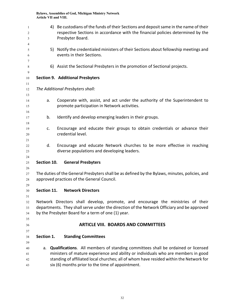#### **Bylaws, Assemblies of God, Michigan Ministry Network Article VII and VIII.**

| 1<br>2   |             | 4) Be custodians of the funds of their Sections and deposit same in the name of their<br>respective Sections in accordance with the financial policies determined by the     |
|----------|-------------|------------------------------------------------------------------------------------------------------------------------------------------------------------------------------|
| 3        |             | Presbyter Board.                                                                                                                                                             |
| 4        |             |                                                                                                                                                                              |
| 5        |             | 5) Notify the credentialed ministers of their Sections about fellowship meetings and                                                                                         |
| 6        |             | events in their Sections.                                                                                                                                                    |
| 7        |             |                                                                                                                                                                              |
| 8        |             | 6) Assist the Sectional Presbyters in the promotion of Sectional projects.                                                                                                   |
| 9        |             |                                                                                                                                                                              |
| 10       |             | <b>Section 9. Additional Presbyters</b>                                                                                                                                      |
| 11       |             |                                                                                                                                                                              |
| 12       |             | The Additional Presbyters shall:                                                                                                                                             |
| 13<br>14 | a.          | Cooperate with, assist, and act under the authority of the Superintendent to                                                                                                 |
| 15       |             | promote participation in Network activities.                                                                                                                                 |
| 16       |             |                                                                                                                                                                              |
| 17       | b.          | Identify and develop emerging leaders in their groups.                                                                                                                       |
| 18       |             |                                                                                                                                                                              |
| 19       | c.          | Encourage and educate their groups to obtain credentials or advance their                                                                                                    |
| 20       |             | credential level.                                                                                                                                                            |
| 21       |             |                                                                                                                                                                              |
| 22       | d.          | Encourage and educate Network churches to be more effective in reaching                                                                                                      |
| 23       |             | diverse populations and developing leaders.                                                                                                                                  |
| 24       |             |                                                                                                                                                                              |
| 25       | Section 10. | <b>General Presbyters</b>                                                                                                                                                    |
| 26       |             |                                                                                                                                                                              |
| 27       |             | The duties of the General Presbyters shall be as defined by the Bylaws, minutes, policies, and                                                                               |
| 28       |             | approved practices of the General Council.                                                                                                                                   |
| 29       |             |                                                                                                                                                                              |
| 30       | Section 11. | <b>Network Directors</b>                                                                                                                                                     |
| 31       |             |                                                                                                                                                                              |
| 32       |             | Network Directors shall develop, promote, and encourage the ministries of their                                                                                              |
| 33       |             | departments. They shall serve under the direction of the Network Officiary and be approved                                                                                   |
| 34       |             | by the Presbyter Board for a term of one (1) year.                                                                                                                           |
| 35       |             |                                                                                                                                                                              |
| 36       |             | <b>ARTICLE VIII. BOARDS AND COMMITTEES</b>                                                                                                                                   |
| 37       |             |                                                                                                                                                                              |
| 38       | Section 1.  | <b>Standing Committees</b>                                                                                                                                                   |
| 39       |             |                                                                                                                                                                              |
| 40       | a.          | <b>Qualifications.</b> All members of standing committees shall be ordained or licensed<br>ministers of mature experience and ability or individuals who are members in good |
| 41       |             | standing of affiliated local churches; all of whom have resided within the Network for                                                                                       |
| 42<br>43 |             | six (6) months prior to the time of appointment.                                                                                                                             |
|          |             |                                                                                                                                                                              |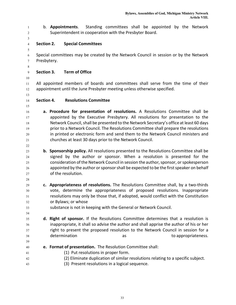- b*.* **Appointments**. Standing committees shall be appointed by the Network Superintendent in cooperation with the Presbyter Board.
- 
- **Section 2. Special Committees**

 Special committees may be created by the Network Council in session or by the Network Presbytery.

### **Section 3. Term of Office**

 All appointed members of boards and committees shall serve from the time of their 12 appointment until the June Presbyter meeting unless otherwise specified.

### **Section 4. Resolutions Committee**

 **a. Procedure for presentation of resolutions.** A Resolutions Committee shall be appointed by the Executive Presbytery. All resolutions for presentation to the 18 Network Council, shall be presented to the Network Secretary's office at least 60 days prior to a Network Council. The Resolutions Committee shall prepare the resolutions in printed or electronic form and send them to the Network Council ministers and churches at least 30 days prior to the Network Council.

- **b. Sponsorship policy.** All resolutions presented to the Resolutions Committee shall be signed by the author or sponsor. When a resolution is presented for the consideration of the Network Council in session the author,sponsor, orspokesperson 26 appointed by the author or sponsor shall be expected to be the first speaker on behalf of the resolution.
- **c. Appropriateness of resolutions.** The Resolutions Committee shall, by a two-thirds vote, determine the appropriateness of proposed resolutions. Inappropriate resolutions may only be those that, if adopted, would conflict with the Constitution or Bylaws; or whose
- substance is not in keeping with the General or Network Council.
- **d. Right of sponsor.** If the Resolutions Committee determines that a resolution is inappropriate, it shall so advise the author and shall apprise the author of his or her right to present the proposed resolution to the Network Council in session for a determination as to appropriateness.
- **e. Format of presentation.** The Resolution Committee shall:
- (1) Put resolutions in proper form.
- (2) Eliminate duplication of similar resolutions relating to a specific subject.
- (3) Present resolutions in a logical sequence.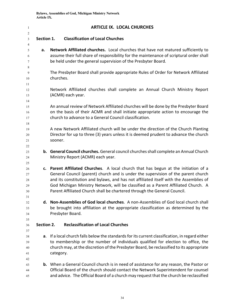| 1                                     |            | <b>ARTICLE IX. LOCAL CHURCHES</b>                                                                                                                                                                                                                                                                                                                                                                                                   |  |  |  |
|---------------------------------------|------------|-------------------------------------------------------------------------------------------------------------------------------------------------------------------------------------------------------------------------------------------------------------------------------------------------------------------------------------------------------------------------------------------------------------------------------------|--|--|--|
| $\overline{2}$<br>$\mathfrak{Z}$<br>4 | Section 1. | <b>Classification of Local Churches</b>                                                                                                                                                                                                                                                                                                                                                                                             |  |  |  |
| 5<br>6<br>7<br>8                      | a.         | Network Affiliated churches. Local churches that have not matured sufficiently to<br>assume their full share of responsibility for the maintenance of scriptural order shall<br>be held under the general supervision of the Presbyter Board.                                                                                                                                                                                       |  |  |  |
| 9<br>10<br>11                         |            | The Presbyter Board shall provide appropriate Rules of Order for Network Affiliated<br>churches.                                                                                                                                                                                                                                                                                                                                    |  |  |  |
| 12<br>13<br>14                        |            | Network Affiliated churches shall complete an Annual Church Ministry Report<br>(ACMR) each year.                                                                                                                                                                                                                                                                                                                                    |  |  |  |
| 15<br>16<br>17<br>18                  |            | An annual review of Network Affiliated churches will be done by the Presbyter Board<br>on the basis of their ACMR and shall initiate appropriate action to encourage the<br>church to advance to a General Council classification.                                                                                                                                                                                                  |  |  |  |
| 19<br>20<br>21<br>22                  |            | A new Network Affiliated church will be under the direction of the Church Planting<br>Director for up to three (3) years unless it is deemed prudent to advance the church<br>sooner.                                                                                                                                                                                                                                               |  |  |  |
| 23<br>24<br>25                        |            | b. General Council churches. General council churches shall complete an Annual Church<br>Ministry Report (ACMR) each year.                                                                                                                                                                                                                                                                                                          |  |  |  |
| 26<br>27<br>28<br>29<br>30<br>31      |            | c. Parent Affiliated Churches. A local church that has begun at the initiation of a<br>General Council (parent) church and is under the supervision of the parent church<br>and its constitution and bylaws, and has not affiliated itself with the Assemblies of<br>God Michigan Ministry Network, will be classified as a Parent Affiliated Church. A<br>Parent Affiliated Church shall be chartered through the General Council. |  |  |  |
| 32<br>33<br>34<br>35                  |            | d. Non-Assemblies of God local churches. A non-Assemblies of God local church shall<br>be brought into affiliation at the appropriate classification as determined by the<br>Presbyter Board.                                                                                                                                                                                                                                       |  |  |  |
| 36                                    | Section 2. | <b>Reclassification of Local Churches</b>                                                                                                                                                                                                                                                                                                                                                                                           |  |  |  |
| 37<br>38<br>39<br>40<br>41            | a.         | If a local church falls below the standards for its current classification, in regard either<br>to membership or the number of individuals qualified for election to office, the<br>church may, at the discretion of the Presbyter Board, be reclassified to its appropriate<br>category.                                                                                                                                           |  |  |  |
| 42<br>43<br>44<br>45                  | b.         | When a General Council church is in need of assistance for any reason, the Pastor or<br>Official Board of the church should contact the Network Superintendent for counsel<br>and advice. The Official Board of a church may request that the church be reclassified                                                                                                                                                                |  |  |  |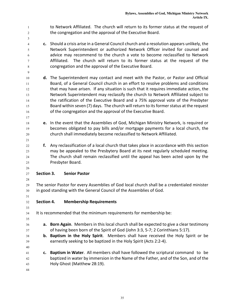- to Network Affiliated. The church will return to its former status at the request of 2 the congregation and the approval of the Executive Board.
- **c.** Should a crisis arise in a General Council church and a resolution appears unlikely, the Network Superintendent or authorized Network Officer invited for counsel and advice may recommend to the church a vote to become reclassified to Network Affiliated. The church will return to its former status at the request of the congregation and the approval of the Executive Board.
- **d.** The Superintendent may contact and meet with the Pastor, or Pastor and Official Board, of a General Council church in an effort to resolve problems and conditions 12 that may have arisen. If any situation is such that it requires immediate action, the Network Superintendent may reclassify the church to Network Affiliated subject to the ratification of the Executive Board and a 75% approval vote of the Presbyter 15 Board within seven (7) days. The church will return to its former status at the request 16 of the congregation and the approval of the Executive Board.
- **e.** In the event that the Assemblies of God, Michigan Ministry Network, is required or becomes obligated to pay bills and/or mortgage payments for a local church, the church shall immediately become reclassified to Network Affiliated.
- **f.** Any reclassification of a local church that takes place in accordance with this section may be appealed to the Presbytery Board at its next regularly scheduled meeting. The church shall remain reclassified until the appeal has been acted upon by the Presbyter Board.
- 

- **Section 3. Senior Pastor**
- The senior Pastor for every Assemblies of God local church shall be a credentialed minister in good standing with the General Council of the Assemblies of God.
- **Section 4. Membership Requirements**
- It is recommended that the minimum requirements for membership be:
- 
- **a. Born Again**. Members in this local church shall be expected to give a clear testimony of having been born of the Spirit of God (John 3:3, 5-7; 2 Corinthians 5:17).
- **b. Baptism in the Holy Spirit**. Members shall have received the Holy Spirit or be earnestly seeking to be baptized in the Holy Spirit (Acts 2:2-4).
- **c. Baptism in Water**. All members shall have followed the scriptural command to be 42 baptized in water by immersion in the Name of the Father, and of the Son, and of the Holy Ghost (Matthew 28:19).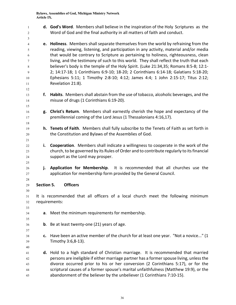| $\mathbf{1}$<br>2 |            | d. God's Word. Members shall believe in the inspiration of the Holy Scriptures as the<br>Word of God and the final authority in all matters of faith and conduct.            |  |  |
|-------------------|------------|------------------------------------------------------------------------------------------------------------------------------------------------------------------------------|--|--|
| 3                 |            |                                                                                                                                                                              |  |  |
| 4                 |            | e. Holiness. Members shall separate themselves from the world by refraining from the                                                                                         |  |  |
| 5                 |            | reading, viewing, listening, and participation in any activity, material and/or media                                                                                        |  |  |
| 6                 |            | that would be contrary to Scripture as pertaining to holiness, righteousness, clean                                                                                          |  |  |
| 7                 |            | living, and the testimony of such to this world. They shall reflect the truth that each                                                                                      |  |  |
| 8                 |            | believer's body is the temple of the Holy Spirit. (Luke 21:34,35; Romans 8:5-8; 12:1-<br>2; 14:17-18; 1 Corinthians 6:9-10; 18-20; 2 Corinthians 6:14-18; Galatians 5:18-20; |  |  |
| 9<br>10           |            | Ephesians 5:11; 1 Timothy 2:8-10; 4:12; James 4:4; 1 John 2:15-17; Titus 2:12;                                                                                               |  |  |
| 11                |            | Revelation 21:8).                                                                                                                                                            |  |  |
| 12                |            |                                                                                                                                                                              |  |  |
| 13                | f.         | Habits. Members shall abstain from the use of tobacco, alcoholic beverages, and the                                                                                          |  |  |
| 14                |            | misuse of drugs (1 Corinthians 6:19-20).                                                                                                                                     |  |  |
| 15                |            |                                                                                                                                                                              |  |  |
| 16                | g.         | Christ's Return. Members shall earnestly cherish the hope and expectancy of the                                                                                              |  |  |
| 17                |            | premillennial coming of the Lord Jesus (1 Thessalonians 4:16,17).                                                                                                            |  |  |
| 18                |            |                                                                                                                                                                              |  |  |
| 19                |            | h. Tenets of Faith. Members shall fully subscribe to the Tenets of Faith as set forth in                                                                                     |  |  |
| 20                |            | the Constitution and Bylaws of the Assemblies of God.                                                                                                                        |  |  |
| 21                |            |                                                                                                                                                                              |  |  |
| 22                | i.         | <b>Cooperation.</b> Members shall indicate a willingness to cooperate in the work of the                                                                                     |  |  |
| 23                |            | church, to be governed by its Rules of Order and to contribute regularly to its financial                                                                                    |  |  |
| 24                |            | support as the Lord may prosper.                                                                                                                                             |  |  |
| 25                |            |                                                                                                                                                                              |  |  |
| 26<br>27          | j.         | Application for Membership. It is recommended that all churches use the<br>application for membership form provided by the General Council.                                  |  |  |
| 28                |            |                                                                                                                                                                              |  |  |
| 29                | Section 5. | <b>Officers</b>                                                                                                                                                              |  |  |
| 30                |            |                                                                                                                                                                              |  |  |
| 31                |            | It is recommended that all officers of a local church meet the following minimum                                                                                             |  |  |
| 32                |            | requirements:                                                                                                                                                                |  |  |
| 33                |            | a. Meet the minimum requirements for membership.                                                                                                                             |  |  |
| 34                |            |                                                                                                                                                                              |  |  |
| 35<br>36          |            | <b>b</b> . Be at least twenty-one (21) years of age.                                                                                                                         |  |  |
| 37                |            |                                                                                                                                                                              |  |  |
| 38                | c.         | Have been an active member of the church for at least one year. "Not a novice" (1                                                                                            |  |  |
| 39                |            | Timothy 3:6,8-13).                                                                                                                                                           |  |  |
| 40                |            |                                                                                                                                                                              |  |  |
| 41                |            | d. Hold to a high standard of Christian marriage. It is recommended that married                                                                                             |  |  |
| 42                |            | persons are ineligible if either marriage partner has a former spouse living, unless the                                                                                     |  |  |
| 43                |            | divorce occurred prior to his or her conversion (2 Corinthians 5:17), or for the                                                                                             |  |  |
| 44                |            | scriptural causes of a former spouse's marital unfaithfulness (Matthew 19:9), or the                                                                                         |  |  |
| 45                |            | abandonment of the believer by the unbeliever (1 Corinthians 7:10-15).                                                                                                       |  |  |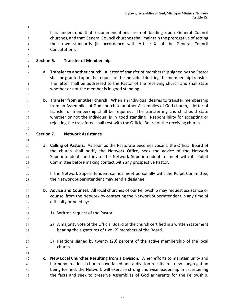It is understood that recommendations are not binding upon General Council 3 churches, and that General Council churches shall maintain the prerogative of setting their own standards (in accordance with Article XI of the General Council Constitution).

**Section 6. Transfer of Membership**

 **a. Transfer to another church**. A letter of transfer of membership signed by the Pastor shall be granted upon the request of the individual desiring the membership transfer. The letter shall be addressed to the Pastor of the receiving church and shall state whether or not the member is in good standing.

 **b. Transfer from another church**. When an individual desires to transfer membership from an Assemblies of God church to another Assemblies of God church, a letter of transfer of membership shall be required. The transferring church should state whether or not the individual is in good standing. Responsibility for accepting or rejecting the transferee shall rest with the Official Board of the receiving church.

### **Section 7. Network Assistance**

- **a. Calling of Pastors**. As soon as the Pastorate becomes vacant, the Official Board of the church shall notify the Network Office, seek the advice of the Network Superintendent, and invite the Network Superintendent to meet with its Pulpit Committee before making contact with any prospective Pastor.
- **If the Network Superintendent cannot meet personally with the Pulpit Committee,** the Network Superintendent may send a designee.
- **b. Advice and Counsel**. All local churches of our Fellowship may request assistance or counsel from the Network by contacting the Network Superintendent in any time of difficulty or need by:
- 1) Written request of the Pastor.
- 2) A majority vote of the Official Board of the church certified in a written statement bearing the signatures of two (2) members of the Board.
- 3) Petitions signed by twenty (20) percent of the active membership of the local church.
- **c. New Local Churches Resulting from a Division**. When efforts to maintain unity and harmony in a local church have failed and a division results in a new congregation being formed, the Network will exercise strong and wise leadership in ascertaining the facts and seek to preserve Assemblies of God adherents for the Fellowship.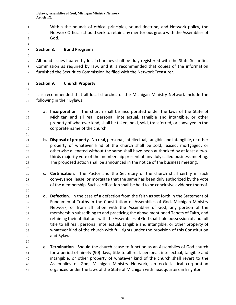Within the bounds of ethical principles, sound doctrine, and Network policy, the Network Officials should seek to retain any meritorious group with the Assemblies of God.

### **Section 8. Bond Programs**

 All bond issues floated by local churches shall be duly registered with the State Securities Commission as required by law, and it is recommended that copies of the information furnished the Securities Commission be filed with the Network Treasurer.

### **Section 9. Church Property**

 It is recommended that all local churches of the Michigan Ministry Network include the following in their Bylaws.

- **a. Incorporation**. The church shall be incorporated under the laws of the State of Michigan and all real, personal, intellectual, tangible and intangible, or other property of whatever kind, shall be taken, held, sold, transferred, or conveyed in the corporate name of the church.
- **b. Disposal of property**. No real, personal, intellectual, tangible and intangible, or other property of whatever kind of the church shall be sold, leased, mortgaged, or otherwise alienated without the same shall have been authorized by at least a two- thirds majority vote of the membership present at any duly called business meeting. The proposed action shall be announced in the notice of the business meeting.
- 

- **c. Certification**. The Pastor and the Secretary of the church shall certify in such conveyance, lease, or mortgage that the same has been duly authorized by the vote of the membership. Such certification shall be held to be conclusive evidence thereof.
- **d. Defection**. In the case of a defection from the faith as set forth in the Statement of Fundamental Truths in the Constitution of Assemblies of God, Michigan Ministry Network, or from affiliation with the Assemblies of God, any portion of the membership subscribing to and practicing the above mentioned Tenets of Faith, and retaining their affiliations with the Assemblies of God shall hold possession of and full title to all real, personal, intellectual, tangible and intangible, or other property of whatever kind of the church with full rights under the provision of this Constitution and Bylaws.
- **e. Termination**. Should the church cease to function as an Assemblies of God church for a period of ninety (90) days, title to all real, personal, intellectual, tangible and intangible, or other property of whatever kind of the church shall revert to the Assemblies of God, Michigan Ministry Network, an ecclesiastical corporation organized under the laws of the State of Michigan with headquarters in Brighton.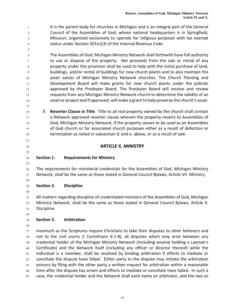It is the parent body for churches in Michigan and is an integral part of the General Council of the Assemblies of God, whose national headquarters is in Springfield, Missouri, organized exclusively to operate for religious purposes with tax exempt status under Section 501(c)(3) of the Internal Revenue Code.

 The Assemblies of God, Michigan Ministry Network shall forthwith have full authority 7 to use or dispose of the property. Net proceeds from the sale or rental of any property under this provision shall be used to help with the initial purchase of land, buildings, and/or rental of buildings for new church plants and to also maintain the asset values of Michigan Ministry Network churches. The Church Planting and Development Board will make grants for new church plants under the policies approved by the Presbyter Board. The Presbyter Board will receive and review requests from any Michigan Ministry Network church to determine the validity of an asset or project and if approved, will make a grant to help preserve the church's asset.

 **f. Reverter Clause in Title**. Title to all real property owned by the church shall contain a Network approved reverter clause wherein the property reverts to Assemblies of God, Michigan Ministry Network, if the property ceases to be used as an Assemblies of God church or for associated church purposes either as a result of defection or termination as noted in subsection d. and e. above, or as a result of sale.

- **ARTICLE X. MINISTRY**
- **Section 1. Requirements for Ministry**

 The requirements for ministerial credentials for the Assemblies of God, Michigan Ministry Network, shall be the same as those stated in General Council Bylaws, Article VII. Ministry. 

**Section 2. Discipline**

 All matters regarding discipline of credentialed ministers of the Assemblies of God, Michigan Ministry Network, shall be the same as those stated in General Council Bylaws, Article X. Discipline.

**Section 3. Arbitration**

 Inasmuch as the Scriptures require Christians to take their disputes to other believers and not to the civil courts (I Corinthians 6:1-8), all disputes which may arise between any credential holder of the Michigan Ministry Network (including anyone holding a Layman's Certificate) and the Network itself (including any officer or director thereof) while the individual is a member, shall be resolved by binding arbitration if efforts to mediate or conciliate the dispute have failed. Either party to the dispute may initiate the arbitration process by filing with the other party a written request for arbitration within a reasonable time after the dispute has arisen and efforts to mediate or conciliate have failed. In such a case, the credential holder and the Network shall each name an arbitrator, and the two so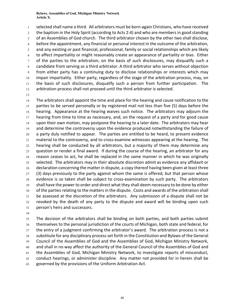#### **Bylaws, Assemblies of God, Michigan Ministry Network Article X.**

 selected shall name a third. All arbitrators must be born-again Christians, who have received 2 the baptism in the Holy Spirit (according to Acts 2:4) and who are members in good standing 3 of an Assemblies of God church. The third arbitrator chosen by the other two shall disclose, before the appointment, any financial or personal interest in the outcome of the arbitration, and any existing or past financial, professional, family or social relationships which are likely to affect impartiality or might reasonably create an appearance of partiality or bias. Either of the parties to the arbitration, on the basis of such disclosures, may disqualify such a candidate from serving as a third arbitrator. A third arbitrator who serves without objection from either party has a continuing duty to disclose relationships or interests which may impair impartiality. Either party, regardless of the stage of the arbitration process, may, on the basis of such disclosures, disqualify such a person from further participation. The arbitration process shall not proceed until the third arbitrator is selected.

 The arbitrators shall appoint the time and place for the hearing and cause notification to the parties to be served personally or by registered mail not less than five (5) days before the hearing. Appearance at the hearing waives such notice. The arbitrators may adjourn the hearing from time to time as necessary, and, on the request of a party and for good cause upon their own motion, may postpone the hearing to a later date. The arbitrators may hear and determine the controversy upon the evidence produced notwithstanding the failure of a party duly notified to appear. The parties are entitled to be heard, to present evidence material to the controversy, and to cross-examine witnesses appearing at the hearing. The hearing shall be conducted by all arbitrators, but a majority of them may determine any question or render a final award. If during the course of the hearing, an arbitrator for any reason ceases to act, he shall be replaced in the same manner in which he was originally selected. The arbitrators may in their absolute discretion admit as evidence any affidavit or 26 declaration concerning the matter in dispute, a copy thereof having been given at least three (3) days previously to the party against whom the same is offered, but that person whose evidence is so taken shall be subject to cross-examination by such party. The arbitrators shall have the power to order and direct what they shall deem necessary to be done by either 30 of the parties relating to the matters in the dispute. Costs and awards of the arbitration shall be assessed at the discretion of the arbitrators. Any submission of a dispute shall not be revoked by the death of any party to the dispute and award will be binding upon such person's heirs and successors.

 The decision of the arbitrators shall be binding on both parties, and both parties submit themselves to the personal jurisdiction of the courts of Michigan, both state and federal, for the entry of a judgment confirming the arbitrator's award. The arbitration process is not a substitute for any disciplinary processset forth in the Constitution and Bylaws of the General Council of the Assemblies of God and the Assemblies of God, Michigan Ministry Network, and shall in no way affect the authority of the General Council of the Assemblies of God and the Assemblies of God, Michigan Ministry Network, to investigate reports of misconduct, 42 conduct hearings, or administer discipline. Any matter not provided for in herein shall be governed by the provisions of the Uniform Arbitration Act.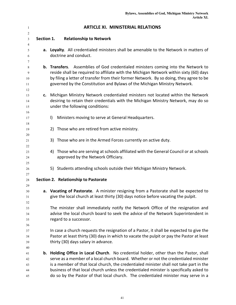| $\mathbf{1}$                     | <b>ARTICLE XI. MINISTERIAL RELATIONS</b> |                                                                                                                                                                                                                                                                                                                                                                                                                                                         |  |
|----------------------------------|------------------------------------------|---------------------------------------------------------------------------------------------------------------------------------------------------------------------------------------------------------------------------------------------------------------------------------------------------------------------------------------------------------------------------------------------------------------------------------------------------------|--|
| 2<br>3                           | Section 1.                               | <b>Relationship to Network</b>                                                                                                                                                                                                                                                                                                                                                                                                                          |  |
| 4<br>5<br>6                      |                                          | a. Loyalty. All credentialed ministers shall be amenable to the Network in matters of<br>doctrine and conduct.                                                                                                                                                                                                                                                                                                                                          |  |
| 7<br>8<br>9<br>10<br>11<br>12    |                                          | <b>b.</b> Transfers. Assemblies of God credentialed ministers coming into the Network to<br>reside shall be required to affiliate with the Michigan Network within sixty (60) days<br>by filing a letter of transfer from their former Network. By so doing, they agree to be<br>governed by the Constitution and Bylaws of the Michigan Ministry Network.                                                                                              |  |
| 13<br>14<br>15                   |                                          | c. Michigan Ministry Network credentialed ministers not located within the Network<br>desiring to retain their credentials with the Michigan Ministry Network, may do so<br>under the following conditions:                                                                                                                                                                                                                                             |  |
| 16<br>17<br>18                   |                                          | $\vert$<br>Ministers moving to serve at General Headquarters.                                                                                                                                                                                                                                                                                                                                                                                           |  |
| 19<br>20                         |                                          | Those who are retired from active ministry.<br>2)                                                                                                                                                                                                                                                                                                                                                                                                       |  |
| 21<br>22                         |                                          | 3) Those who are in the Armed Forces currently on active duty.                                                                                                                                                                                                                                                                                                                                                                                          |  |
| 23<br>24                         |                                          | Those who are serving at schools affiliated with the General Council or at schools<br>4)<br>approved by the Network Officiary.                                                                                                                                                                                                                                                                                                                          |  |
| 25<br>26<br>27                   |                                          | 5) Students attending schools outside their Michigan Ministry Network.                                                                                                                                                                                                                                                                                                                                                                                  |  |
| 28<br>29                         |                                          | Section 2. Relationship to Pastorate                                                                                                                                                                                                                                                                                                                                                                                                                    |  |
| 30<br>31<br>32                   |                                          | a. Vacating of Pastorate. A minister resigning from a Pastorate shall be expected to<br>give the local church at least thirty (30) days notice before vacating the pulpit.                                                                                                                                                                                                                                                                              |  |
| 33<br>34<br>35<br>36             |                                          | The minister shall immediately notify the Network Office of the resignation and<br>advise the local church board to seek the advice of the Network Superintendent in<br>regard to a successor.                                                                                                                                                                                                                                                          |  |
| 37<br>38<br>39                   |                                          | In case a church requests the resignation of a Pastor, it shall be expected to give the<br>Pastor at least thirty (30) days in which to vacate the pulpit or pay the Pastor at least<br>thirty (30) days salary in advance.                                                                                                                                                                                                                             |  |
| 40<br>41<br>42<br>43<br>44<br>45 |                                          | b. Holding Office in Local Church. No credential holder, other than the Pastor, shall<br>serve as a member of a local church board. Whether or not the credentialed minister<br>is a member of that local church, the credentialed minister shall not take part in the<br>business of that local church unless the credentialed minister is specifically asked to<br>do so by the Pastor of that local church. The credentialed minister may serve in a |  |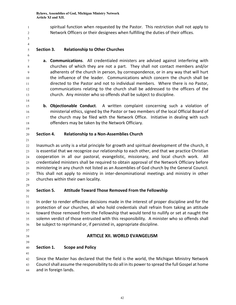- spiritual function when requested by the Pastor. This restriction shall not apply to Network Officers or their designees when fulfilling the duties of their offices.
- 

### **Section 3. Relationship to Other Churches**

 **a. Communications**. All credentialed ministers are advised against interfering with churches of which they are not a part. They shall not contact members and/or adherents of the church in person, by correspondence, or in any way that will hurt the influence of the leader. Communications which concern the church shall be directed to the Pastor and not to individual members. Where there is no Pastor, communications relating to the church shall be addressed to the officers of the church. Any minister who so offends shall be subject to discipline.

- **b. Objectionable Conduct**. A written complaint concerning such a violation of ministerial ethics, signed by the Pastor or two members of the local Official Board of the church may be filed with the Network Office. Initiative in dealing with such offenders may be taken by the Network Officiary.
- 

### **Section 4. Relationship to a Non-Assemblies Church**

 Inasmuch as unity is a vital principle for growth and spiritual development of the church, it is essential that we recognize our relationship to each other, and that we practice Christian cooperation in all our pastoral, evangelistic, missionary, and local church work. All credentialed ministers shall be required to obtain approval of the Network Officiary before ministering in any church not listed as an Assemblies of God church by the General Council. This shall not apply to ministry in inter-denominational meetings and ministry in other churches within their own locality.

### **Section 5. Attitude Toward Those Removed From the Fellowship**

- In order to render effective decisions made in the interest of proper discipline and for the protection of our churches, all who hold credentials shall refrain from taking an attitude toward those removed from the Fellowship that would tend to nullify or set at naught the solemn verdict of those entrusted with this responsibility. A minister who so offends shall be subject to reprimand or, if persisted in, appropriate discipline.
- 

### **ARTICLE XII. WORLD EVANGELISM**

### **Section 1. Scope and Policy**

 Since the Master has declared that the field is the world, the Michigan Ministry Network 43 Council shall assume the responsibility to do all in its power to spread the full Gospel at home

and in foreign lands.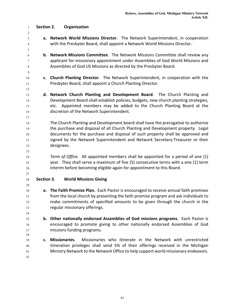| $\mathbf{1}$                     | Section 2. | Organization                                                                                                                                                                                                                                                                                                                                           |
|----------------------------------|------------|--------------------------------------------------------------------------------------------------------------------------------------------------------------------------------------------------------------------------------------------------------------------------------------------------------------------------------------------------------|
| 2<br>3<br>4<br>5                 |            | a. Network World Missions Director. The Network Superintendent, in cooperation<br>with the Presbyter Board, shall appoint a Network World Missions Director.                                                                                                                                                                                           |
| 6<br>7<br>8<br>9                 |            | <b>b.</b> Network Missions Committee. The Network Missions Committee shall review any<br>applicant for missionary appointment under Assemblies of God World Missions and<br>Assemblies of God US Missions as directed by the Presbyter Board.                                                                                                          |
| 10<br>11<br>12                   |            | c. Church Planting Director. The Network Superintendent, in cooperation with the<br>Presbyter Board, shall appoint a Church Planting Director.                                                                                                                                                                                                         |
| 13<br>14<br>15<br>16<br>17       |            | d. Network Church Planting and Development Board. The Church Planting and<br>Development Board shall establish policies, budgets, new church planting strategies,<br>Appointed members may be added to the Church Planting Board at the<br>etc.<br>discretion of the Network Superintendent.                                                           |
| 18<br>19<br>20<br>21<br>22<br>23 |            | The Church Planting and Development board shall have the prerogative to authorize<br>the purchase and disposal of all Church Planting and Development property. Legal<br>documents for the purchase and disposal of such property shall be approved and<br>signed by the Network Superintendent and Network Secretary-Treasurer or their<br>designees. |
| 24<br>25<br>26                   |            | Term of Office. All appointed members shall be appointed for a period of one (1)<br>year. They shall serve a maximum of five (5) consecutive terms with a one (1) term<br>interim before becoming eligible again for appointment to this Board.                                                                                                        |
| 27<br>28                         | Section 3. | <b>World Missions Giving</b>                                                                                                                                                                                                                                                                                                                           |
| 29<br>30<br>31<br>32<br>33<br>34 |            | a. The Faith Promise Plan. Each Pastor is encouraged to receive annual faith promises<br>from the local church by presenting the faith promise program and ask individuals to<br>make commitments of specified amounts to be given through the church in the<br>regular missionary offerings.                                                          |
| 35<br>36<br>37<br>38             |            | b. Other nationally endorsed Assemblies of God missions programs. Each Pastor is<br>encouraged to promote giving to other nationally endorsed Assemblies of God<br>missions funding programs.                                                                                                                                                          |
| 39<br>40<br>41<br>42             | c.         | <b>Missionaries.</b><br>Missionaries who itinerate in the Network with unrestricted<br>itineration privileges shall send 5% of their offerings received in the Michigan<br>Ministry Network to the Network Office to help support world missionary endeavors.                                                                                          |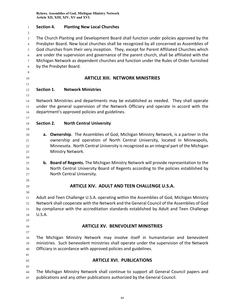**Bylaws, Assemblies of God, Michigan Ministry Network Article XII, XIII, XIV, XV and XVI.**

| $\mathbf{1}$ | Section 4.                                                                                                                                                                           | <b>Planting New Local Churches</b>                                                                                                                                   |  |
|--------------|--------------------------------------------------------------------------------------------------------------------------------------------------------------------------------------|----------------------------------------------------------------------------------------------------------------------------------------------------------------------|--|
| 2            |                                                                                                                                                                                      |                                                                                                                                                                      |  |
| 3<br>4       | The Church Planting and Development Board shall function under policies approved by the<br>Presbyter Board. New local churches shall be recognized by all concerned as Assemblies of |                                                                                                                                                                      |  |
| 5            |                                                                                                                                                                                      | God churches from their very inception. They, except for Parent Affiliated Churches which                                                                            |  |
| 6            |                                                                                                                                                                                      | are under the supervision and governance of the parent church, shall be affiliated with the                                                                          |  |
| 7            |                                                                                                                                                                                      | Michigan Network as dependent churches and function under the Rules of Order furnished                                                                               |  |
| 8            | by the Presbyter Board.                                                                                                                                                              |                                                                                                                                                                      |  |
| 9            |                                                                                                                                                                                      |                                                                                                                                                                      |  |
| 10           |                                                                                                                                                                                      | <b>ARTICLE XIII. NETWORK MINISTRIES</b>                                                                                                                              |  |
| 11           |                                                                                                                                                                                      |                                                                                                                                                                      |  |
| 12           | Section 1.                                                                                                                                                                           | <b>Network Ministries</b>                                                                                                                                            |  |
| 13           |                                                                                                                                                                                      |                                                                                                                                                                      |  |
| 14           |                                                                                                                                                                                      | Network Ministries and departments may be established as needed. They shall operate                                                                                  |  |
| 15           |                                                                                                                                                                                      | under the general supervision of the Network Officiary and operate in accord with the<br>department's approved policies and guidelines.                              |  |
| 16<br>17     |                                                                                                                                                                                      |                                                                                                                                                                      |  |
| 18           | Section 2.                                                                                                                                                                           | <b>North Central University</b>                                                                                                                                      |  |
| 19           |                                                                                                                                                                                      |                                                                                                                                                                      |  |
| 20           |                                                                                                                                                                                      | a. Ownership. The Assemblies of God, Michigan Ministry Network, is a partner in the                                                                                  |  |
| 21           |                                                                                                                                                                                      | ownership and operation of North Central University, located in Minneapolis,                                                                                         |  |
| 22           |                                                                                                                                                                                      | Minnesota. North Central University is recognized as an integral part of the Michigan                                                                                |  |
| 23           |                                                                                                                                                                                      | Ministry Network.                                                                                                                                                    |  |
| 24           |                                                                                                                                                                                      |                                                                                                                                                                      |  |
| 25           |                                                                                                                                                                                      | b. Board of Regents. The Michigan Ministry Network will provide representation to the                                                                                |  |
| 26           |                                                                                                                                                                                      | North Central University Board of Regents according to the policies established by                                                                                   |  |
| 27           |                                                                                                                                                                                      | North Central University.                                                                                                                                            |  |
| 28           |                                                                                                                                                                                      |                                                                                                                                                                      |  |
| 29           |                                                                                                                                                                                      | ARTICLE XIV. ADULT AND TEEN CHALLENGE U.S.A.                                                                                                                         |  |
| 30<br>31     |                                                                                                                                                                                      | Adult and Teen Challenge U.S.A. operating within the Assemblies of God, Michigan Ministry                                                                            |  |
| 32           |                                                                                                                                                                                      | Network shall cooperate with the Network and the General Council of the Assemblies of God                                                                            |  |
| 33           |                                                                                                                                                                                      | by compliance with the accreditation standards established by Adult and Teen Challenge                                                                               |  |
| 34           | U.S.A.                                                                                                                                                                               |                                                                                                                                                                      |  |
| 35           |                                                                                                                                                                                      |                                                                                                                                                                      |  |
| 36           |                                                                                                                                                                                      | <b>ARTICLE XV. BENEVOLENT MINISTRIES</b>                                                                                                                             |  |
| 37           |                                                                                                                                                                                      |                                                                                                                                                                      |  |
| 38           |                                                                                                                                                                                      | The Michigan Ministry Network may involve itself in humanitarian and benevolent                                                                                      |  |
| 39           |                                                                                                                                                                                      | ministries. Such benevolent ministries shall operate under the supervision of the Network                                                                            |  |
| 40           |                                                                                                                                                                                      | Officiary in accordance with approved policies and guidelines.                                                                                                       |  |
| 41           |                                                                                                                                                                                      |                                                                                                                                                                      |  |
| 42           |                                                                                                                                                                                      | <b>ARTICLE XVI. PUBLICATIONS</b>                                                                                                                                     |  |
| 43           |                                                                                                                                                                                      |                                                                                                                                                                      |  |
| 44           |                                                                                                                                                                                      | The Michigan Ministry Network shall continue to support all General Council papers and<br>publications and any other publications authorized by the General Council. |  |
| 45           |                                                                                                                                                                                      |                                                                                                                                                                      |  |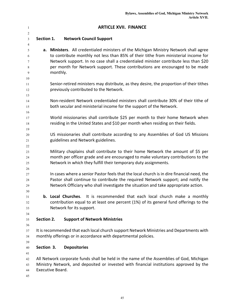| $\overline{1}$                   |                  | <b>ARTICLE XVII. FINANCE</b>                                                                                                                                                                                                                                                                                                                                   |
|----------------------------------|------------------|----------------------------------------------------------------------------------------------------------------------------------------------------------------------------------------------------------------------------------------------------------------------------------------------------------------------------------------------------------------|
| 2<br>3                           | Section 1.       | <b>Network Council Support</b>                                                                                                                                                                                                                                                                                                                                 |
| 4<br>5<br>6<br>7<br>8<br>9<br>10 |                  | a. Ministers. All credentialed ministers of the Michigan Ministry Network shall agree<br>to contribute monthly not less than 85% of their tithe from ministerial income for<br>Network support. In no case shall a credentialed minister contribute less than \$20<br>per month for Network support. These contributions are encouraged to be made<br>monthly. |
| 11<br>12<br>13                   |                  | Senior-retired ministers may distribute, as they desire, the proportion of their tithes<br>previously contributed to the Network.                                                                                                                                                                                                                              |
| 14<br>15                         |                  | Non-resident Network credentialed ministers shall contribute 30% of their tithe of<br>both secular and ministerial income for the support of the Network.                                                                                                                                                                                                      |
| 16<br>17<br>18                   |                  | World missionaries shall contribute \$25 per month to their home Network when<br>residing in the United States and \$10 per month when residing on their fields.                                                                                                                                                                                               |
| 19<br>20<br>21<br>22             |                  | US missionaries shall contribute according to any Assemblies of God US Missions<br>guidelines and Network guidelines.                                                                                                                                                                                                                                          |
| 23<br>24<br>25                   |                  | Military chaplains shall contribute to their home Network the amount of \$5 per<br>month per officer grade and are encouraged to make voluntary contributions to the<br>Network in which they fulfill their temporary duty assignments.                                                                                                                        |
| 26<br>27<br>28<br>29             |                  | In cases where a senior Pastor feels that the local church is in dire financial need, the<br>Pastor shall continue to contribute the required Network support; and notify the<br>Network Officiary who shall investigate the situation and take appropriate action.                                                                                            |
| 30<br>31<br>32<br>33<br>34       |                  | <b>Local Churches.</b> It is recommended that each local church make a monthly<br>contribution equal to at least one percent (1%) of its general fund offerings to the<br>Network for its support.                                                                                                                                                             |
| 35                               | Section 2.       | <b>Support of Network Ministries</b>                                                                                                                                                                                                                                                                                                                           |
| 36<br>37<br>38<br>39             |                  | It is recommended that each local church support Network Ministries and Departments with<br>monthly offerings or in accordance with departmental policies.                                                                                                                                                                                                     |
| 40                               | Section 3.       | <b>Depositories</b>                                                                                                                                                                                                                                                                                                                                            |
| 41<br>42<br>43<br>44             | Executive Board. | All Network corporate funds shall be held in the name of the Assemblies of God, Michigan<br>Ministry Network, and deposited or invested with financial institutions approved by the                                                                                                                                                                            |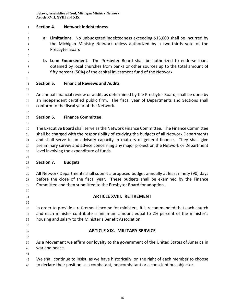**Bylaws, Assemblies of God, Michigan Ministry Network Article XVII, XVIII and XIX.**

 **Section 4. Network Indebtedness a. Limitations**. No unbudgeted indebtedness exceeding \$15,000 shall be incurred by the Michigan Ministry Network unless authorized by a two-thirds vote of the Presbyter Board. **b. Loan Endorsement**. The Presbyter Board shall be authorized to endorse loans obtained by local churches from banks or other sources up to the total amount of fifty percent (50%) of the capital investment fund of the Network. **Section 5. Financial Reviews and Audits** An annual financial review or audit, as determined by the Presbyter Board, shall be done by an independent certified public firm. The fiscal year of Departments and Sections shall conform to the fiscal year of the Network. **Section 6. Finance Committee** The Executive Board shallserve asthe Network Finance Committee. The Finance Committee shall be charged with the responsibility of studying the budgets of all Network Departments and shall serve in an advisory capacity in matters of general finance. They shall give preliminary survey and advice concerning any major project on the Network or Department level involving the expenditure of funds. **Section 7. Budgets** All Network Departments shall submit a proposed budget annually at least ninety (90) days before the close of the fiscal year. These budgets shall be examined by the Finance Committee and then submitted to the Presbyter Board for adoption. **ARTICLE XVIII. RETIREMENT** In order to provide a retirement income for ministers, it is recommended that each church and each minister contribute a minimum amount equal to 2½ percent of the minister's housing and salary to the Minister's Benefit Association. **ARTICLE XIX. MILITARY SERVICE** As a Movement we affirm our loyalty to the government of the United States of America in war and peace. We shall continue to insist, as we have historically, on the right of each member to choose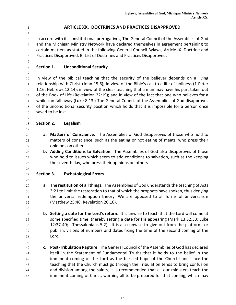| $\mathbf{1}$   | ARTICLE XX. DOCTRINES AND PRACTICES DISAPPROVED                                              |                                                                                                  |  |  |  |
|----------------|----------------------------------------------------------------------------------------------|--------------------------------------------------------------------------------------------------|--|--|--|
| $\overline{c}$ | In accord with its constitutional prerogatives, The General Council of the Assemblies of God |                                                                                                  |  |  |  |
| 3<br>4         |                                                                                              | and the Michigan Ministry Network have declared themselves in agreement pertaining to            |  |  |  |
| 5              |                                                                                              | certain matters as stated in the following General Council Bylaws, Article IX. Doctrine and      |  |  |  |
| 6              |                                                                                              | Practices Disapproved, B. List of Doctrines and Practices Disapproved.                           |  |  |  |
| 7              |                                                                                              |                                                                                                  |  |  |  |
| 8              | Section 1.                                                                                   | <b>Unconditional Security</b>                                                                    |  |  |  |
| 9              |                                                                                              | In view of the biblical teaching that the security of the believer depends on a living           |  |  |  |
| 10             |                                                                                              | relationship with Christ (John 15:6); in view of the Bible's call to a life of holiness (1 Peter |  |  |  |
| 11<br>12       |                                                                                              | 1:16; Hebrews 12:14); in view of the clear teaching that a man may have his part taken out       |  |  |  |
| 13             |                                                                                              | of the Book of Life (Revelation 22:19); and in view of the fact that one who believes for a      |  |  |  |
| 14             |                                                                                              | while can fall away (Luke 8:13); The General Council of the Assemblies of God disapproves        |  |  |  |
| 15             |                                                                                              | of the unconditional security position which holds that it is impossible for a person once       |  |  |  |
| 16             |                                                                                              | saved to be lost.                                                                                |  |  |  |
| 17             |                                                                                              |                                                                                                  |  |  |  |
| 18             | Section 2.                                                                                   | Legalism                                                                                         |  |  |  |
| 19             |                                                                                              |                                                                                                  |  |  |  |
| 20             | а.                                                                                           | Matters of Conscience. The Assemblies of God disapproves of those who hold to                    |  |  |  |
| 21             |                                                                                              | matters of conscience, such as the eating or not eating of meats, who press their                |  |  |  |
| 22             |                                                                                              | opinions on others.                                                                              |  |  |  |
| 23             |                                                                                              | b. Adding Conditions to Salvation. The Assemblies of God also disapproves of those               |  |  |  |
| 24             |                                                                                              | who hold to issues which seem to add conditions to salvation, such as the keeping                |  |  |  |
| 25             |                                                                                              | the seventh day, who press their opinions on others                                              |  |  |  |
| 26             |                                                                                              |                                                                                                  |  |  |  |
| 27             | Section 3.                                                                                   | <b>Eschatological Errors</b>                                                                     |  |  |  |
| 28             |                                                                                              |                                                                                                  |  |  |  |
| 29             |                                                                                              | a. The restitution of all things. The Assemblies of God understands the teaching of Acts         |  |  |  |
| 30             |                                                                                              | 3:21 to limit the restoration to that of which the prophets have spoken, thus denying            |  |  |  |
| 31             |                                                                                              | the universal redemption theory. We are opposed to all forms of universalism                     |  |  |  |
| 32             |                                                                                              | (Matthew 25:46; Revelation 20:10).                                                               |  |  |  |
| 33             |                                                                                              |                                                                                                  |  |  |  |
| 34             |                                                                                              | <b>b.</b> Setting a date for the Lord's return. It is unwise to teach that the Lord will come at |  |  |  |
| 35             |                                                                                              | some specified time, thereby setting a date for His appearing (Mark 13:32,33; Luke               |  |  |  |
| 36             |                                                                                              | 12:37-40; I Thessalonians 5:2). It is also unwise to give out from the platform, or              |  |  |  |
| 37             |                                                                                              | publish, visions of numbers and dates fixing the time of the second coming of the                |  |  |  |
| 38             |                                                                                              | Lord.                                                                                            |  |  |  |
| 39             |                                                                                              |                                                                                                  |  |  |  |
| 40             | c.                                                                                           | Post-Tribulation Rapture. The General Council of the Assemblies of God has declared              |  |  |  |
| 41             |                                                                                              | itself in the Statement of Fundamental Truths that it holds to the belief in the                 |  |  |  |
| 42             |                                                                                              | imminent coming of the Lord as the blessed hope of the Church; and since the                     |  |  |  |
| 43             |                                                                                              | teaching that the Church must go through the Tribulation tends to bring confusion                |  |  |  |
| 44             |                                                                                              | and division among the saints, it is recommended that all our ministers teach the                |  |  |  |
| 45             |                                                                                              | imminent coming of Christ, warning all to be prepared for that coming, which may                 |  |  |  |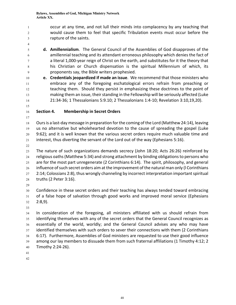- occur at any time, and not lull their minds into complacency by any teaching that would cause them to feel that specific Tribulation events must occur before the rapture of the saints.
- **d. Amillennialism**. The General Council of the Assemblies of God disapproves of the amillennial teaching and its attendant erroneous philosophy which denies the fact of a literal 1,000-year reign of Christ on the earth, and substitutes for it the theory that his Christian or Church dispensation is the spiritual Millennium of which, its proponents say, the Bible writers prophesied.
- **e. Credentials jeopardized if made an issue**. We recommend that those ministers who embrace any of the foregoing eschatological errors refrain from preaching or teaching them. Should they persist in emphasizing these doctrines to the point of 13 making them an issue, their standing in the Fellowship will be seriously affected (Luke 21:34-36; 1 Thessalonians 5:9.10; 2 Thessalonians 1:4-10; Revelation 3:10,19,20).
- 

- 
- 

### **Section 4. Membership in Secret Orders**

18 Ours is a last-day message in preparation for the coming of the Lord (Matthew 24:14), leaving us no alternative but wholehearted devotion to the cause of spreading the gospel (Luke 9:62); and it is well known that the various secret orders require much valuable time and interest, thus diverting the servant of the Lord out of the way (Ephesians 5:16).

 The nature of such organizations demands secrecy (John 18:20; Acts 26:26) reinforced by religious oaths(Matthew 5:34) and strong attachment by binding obligationsto persons who 25 are for the most part unregenerate (2 Corinthians 6:14). The spirit, philosophy, and general 26 influence of such secret orders aim at the improvement of the natural man only (I Corinthians 27 2:14; Colossians 2:8), thus wrongly channeling by incorrect interpretation important spiritual truths (2 Peter 3:16).

 Confidence in these secret orders and their teaching has always tended toward embracing of a false hope of salvation through good works and improved moral service (Ephesians 2:8,9).

 In consideration of the foregoing, all ministers affiliated with us should refrain from 35 identifying themselves with any of the secret orders that the General Council recognizes as essentially of the world, worldly; and the General Council advises any who may have identified themselves with such orders to sever their connections with them (2 Corinthians 6:17). Furthermore, Assemblies of God ministers are requested to use their good influence among our lay members to dissuade them from such fraternal affiliations (1 Timothy 4:12; 2 Timothy 2:24-26).

- 
-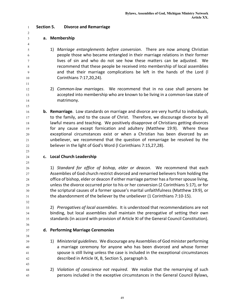**Section 5. Divorce and Remarriage**

- **a. Membership**
- 1) *Marriage entanglements before conversion*. There are now among Christian people those who became entangled in their marriage relations in their former  $\frac{7}{7}$  lives of sin and who do not see how these matters can be adjusted. We recommend that these people be received into membership of local assemblies and that their marriage complications be left in the hands of the Lord (l Corinthians 7:17,20,24).
- 2) *Common-law marriages*. We recommend that in no case shall persons be accepted into membership who are known to be living in a common-law state of matrimony.
- **b. Remarriage**. Low standards on marriage and divorce are very hurtful to individuals, to the family, and to the cause of Christ. Therefore, we discourage divorce by all lawful means and teaching. We positively disapprove of Christians getting divorces for any cause except fornication and adultery (Matthew 19:9). Where these exceptional circumstances exist or when a Christian has been divorced by an unbeliever, we recommend that the question of remarriage be resolved by the believer in the light of God's Word (l Corinthians 7:15,27,28).
- **c. Local Church Leadership**

 1) *Standard for office of bishop, elder or deacon*. We recommend that each Assemblies of God church restrict divorced and remarried believers from holding the 28 office of bishop, elder or deacon if either marriage partner has a former spouse living, unless the divorce occurred prior to his or her conversion (2 Corinthians 5:17), or for the scriptural causes of a former spouse's marital unfaithfulness (Matthew 19:9), or the abandonment of the believer by the unbeliever (1 Corinthians 7:10-15).

 2) *Prerogatives of local assemblies*. It is understood that recommendations are not binding, but local assemblies shall maintain the prerogative of setting their own standards (in accord with provision of Article XI of the General Council Constitution).

 

### **d. Performing Marriage Ceremonies**

- 1) *Ministerial guidelines*. We discourage any Assemblies of God minister performing a marriage ceremony for anyone who has been divorced and whose former spouse is still living unless the case is included in the exceptional circumstances described in Article IX, B, Section 5, paragraph b.
- 2) *Violation of conscience not required*. We realize that the remarrying of such persons included in the exceptive circumstances in the General Council Bylaws,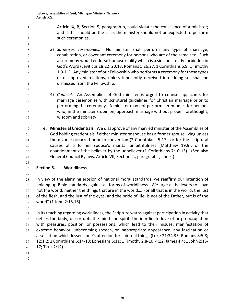- Article IX, B, Section 5, paragraph b, could violate the conscience of a minister; and if this should be the case, the minister should not be expected to perform such ceremonies.
- 3) *Same-sex ceremonies*. No minister shall perform any type of marriage, cohabitation, or covenant ceremony for persons who are of the same sex. Such a ceremony would endorse homosexuality which is a sin and strictly forbidden in God's Word (Leviticus 18:22; 20:13; Romans 1:26,27; 1 Corinthians 6:9; 1 Timothy 1:9-11). Any minister of our Fellowship who performs a ceremony for these types **of disapproved relations, unless innocently deceived into doing so, shall be** dismissed from the Fellowship.
- 4) *Counsel*. An Assemblies of God minister is urged to counsel applicants for marriage ceremonies with scriptural guidelines for Christian marriage prior to performing the ceremony. A minister may not perform ceremonies for persons who, in the minister's opinion, approach marriage without proper forethought, **wisdom and sobriety.**
- **e. Ministerial Credentials**. We disapprove of any married minister of the Assemblies of God holding credentials if either minister or spouse has a former spouse living unless the divorce occurred prior to conversion (2 Corinthians 5:17), or for the scriptural causes of a former spouse's marital unfaithfulness (Matthew 19:9), or the abandonment of the believer by the unbeliever (1 Corinthians 7:10-15). (See also General Council Bylaws, Article VII, Section 2., paragraphs j and k.)
- 

- **Section 6. Worldliness**
- 

 In view of the alarming erosion of national moral standards, we reaffirm our intention of holding up Bible standards against all forms of worldliness. We urge all believers to "love not the world, neither the things that are in the world…. For all that is in the world, the lust of the flesh, and the lust of the eyes, and the pride of life, is not of the Father, but is of the world" (1 John 2:15,16).

34 In its teaching regarding worldliness, the Scripture warns against participation in activity that defiles the body, or corrupts the mind and spirit; the inordinate love of or preoccupation with pleasures, position, or possessions, which lead to their misuse; manifestation of extreme behavior, unbecoming speech, or inappropriate appearance; any fascination or association which lessens one's affection for spiritual things (Luke 21:34,35; Romans 8:5-8; 12:1,2; 2 Corinthians 6:14-18; Ephesians 5:11; 1 Timothy 2:8-10; 4:12; James 4:4; 1 John 2:15- 17; Titus 2:12).

- 
-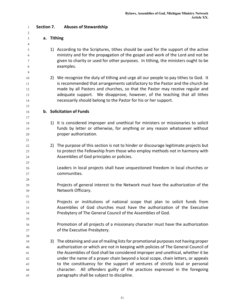| $\mathbf{1}$                           | Section 7.<br>a. Tithing |  | <b>Abuses of Stewardship</b>                                                                                                                                                                                                                                                                                                                                                                                                                                                                                                                                   |
|----------------------------------------|--------------------------|--|----------------------------------------------------------------------------------------------------------------------------------------------------------------------------------------------------------------------------------------------------------------------------------------------------------------------------------------------------------------------------------------------------------------------------------------------------------------------------------------------------------------------------------------------------------------|
| 2<br>3                                 |                          |  |                                                                                                                                                                                                                                                                                                                                                                                                                                                                                                                                                                |
| 4<br>5<br>6<br>7<br>8                  |                          |  | 1) According to the Scriptures, tithes should be used for the support of the active<br>ministry and for the propagation of the gospel and work of the Lord and not be<br>given to charity or used for other purposes. In tithing, the ministers ought to be<br>examples.                                                                                                                                                                                                                                                                                       |
| 9<br>10<br>11<br>12<br>13<br>14        |                          |  | 2) We recognize the duty of tithing and urge all our people to pay tithes to God. It<br>is recommended that arrangements satisfactory to the Pastor and the church be<br>made by all Pastors and churches, so that the Pastor may receive regular and<br>adequate support. We disapprove, however, of the teaching that all tithes<br>necessarily should belong to the Pastor for his or her support.                                                                                                                                                          |
| 15<br>16                               |                          |  | b. Solicitation of Funds                                                                                                                                                                                                                                                                                                                                                                                                                                                                                                                                       |
| 17<br>18<br>19<br>20<br>21             |                          |  | 1) It is considered improper and unethical for ministers or missionaries to solicit<br>funds by letter or otherwise, for anything or any reason whatsoever without<br>proper authorization.                                                                                                                                                                                                                                                                                                                                                                    |
| 22<br>23<br>24<br>25                   |                          |  | 2) The purpose of this section is not to hinder or discourage legitimate projects but<br>to protect the Fellowship from those who employ methods not in harmony with<br>Assemblies of God principles or policies.                                                                                                                                                                                                                                                                                                                                              |
| 26<br>27                               |                          |  | Leaders in local projects shall have unquestioned freedom in local churches or<br>communities.                                                                                                                                                                                                                                                                                                                                                                                                                                                                 |
| 28<br>29<br>30                         |                          |  | Projects of general interest to the Network must have the authorization of the<br>Network Officiary.                                                                                                                                                                                                                                                                                                                                                                                                                                                           |
| 31<br>32<br>33<br>34                   |                          |  | Projects or institutions of national scope that plan to solicit funds from<br>Assemblies of God churches must have the authorization of the Executive<br>Presbytery of The General Council of the Assemblies of God.                                                                                                                                                                                                                                                                                                                                           |
| 35<br>36<br>37<br>38                   |                          |  | Promotion of all projects of a missionary character must have the authorization<br>of the Executive Presbytery.                                                                                                                                                                                                                                                                                                                                                                                                                                                |
| 39<br>40<br>41<br>42<br>43<br>44<br>45 |                          |  | 3) The obtaining and use of mailing lists for promotional purposes not having proper<br>authorization or which are not in keeping with policies of The General Council of<br>the Assemblies of God shall be considered improper and unethical, whether it be<br>under the name of a prayer chain beyond a local scope, chain letters, or appeals<br>to the constituency for the support of ventures of strictly local or personal<br>character. All offenders guilty of the practices expressed in the foregoing<br>paragraphs shall be subject to discipline. |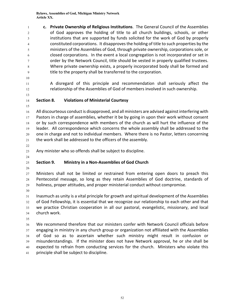**c. Private Ownership of Religious Institutions**. The General Council of the Assemblies of God approves the holding of title to all church buildings, schools, or other institutions that are supported by funds solicited for the work of God by properly constituted corporations. It disapprovesthe holding of title to such properties by the ministers of the Assemblies of God, through private ownership, corporations sole, or closed corporations. In the event a local congregation is not incorporated or set in 7 order by the Network Council, title should be vested in properly qualified trustees. Where private ownership exists, a properly incorporated body shall be formed and title to the property shall be transferred to the corporation.

- 
- 

 A disregard of this principle and recommendation shall seriously affect the relationship of the Assemblies of God of members involved in such ownership.

### **Section 8. Violations of Ministerial Courtesy**

- All discourteous conduct is disapproved, and all ministers are advised against interfering with Pastors in charge of assemblies, whether it be by going in upon their work without consent or by such correspondence with members of the church as will hurt the influence of the leader. All correspondence which concerns the whole assembly shall be addressed to the one in charge and not to individual members. Where there is no Pastor, letters concerning the work shall be addressed to the officers of the assembly.
- 

Any minister who so offends shall be subject to discipline.

## **Section 9. Ministry in a Non-Assemblies of God Church**

 Ministers shall not be limited or restrained from entering open doors to preach this Pentecostal message, so long as they retain Assemblies of God doctrine, standards of holiness, proper attitudes, and proper ministerial conduct without compromise.

 Inasmuch as unity is a vital principle for growth and spiritual development of the Assemblies of God Fellowship, it is essential that we recognize our relationship to each other and that we practice Christian cooperation in all our pastoral, evangelistic, missionary, and local church work.

 We recommend therefore that our ministers confer with Network Council officials before engaging in ministry in any church group or organization not affiliated with the Assemblies of God so as to ascertain whether such ministry might result in confusion or misunderstandings. If the minister does not have Network approval, he or she shall be expected to refrain from conducting services for the church. Ministers who violate this principle shall be subject to discipline.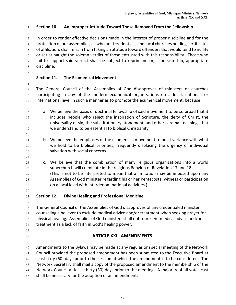| 1              | Section 10. | An Improper Attitude Toward Those Removed From the Fellowship                                     |
|----------------|-------------|---------------------------------------------------------------------------------------------------|
| 2              |             |                                                                                                   |
| $\mathfrak{Z}$ |             | In order to render effective decisions made in the interest of proper discipline and for the      |
| 4              |             | protection of our assemblies, all who hold credentials, and local churches holding certificates   |
| 5              |             | of affiliation, shall refrain from taking an attitude toward offenders that would tend to nullify |
| 6              |             | or set at naught the solemn verdict of those entrusted with this responsibility. Those who        |
| $\tau$         |             | fail to support said verdict shall be subject to reprimand or, if persisted in, appropriate       |
| $\,8\,$        | discipline. |                                                                                                   |
| 9<br>10        | Section 11. | <b>The Ecumenical Movement</b>                                                                    |
| 11             |             |                                                                                                   |
| 12             |             | The General Council of the Assemblies of God disapproves of ministers or churches                 |
| 13             |             | participating in any of the modern ecumenical organizations on a local, national, or              |
| 14             |             | international level in such a manner as to promote the ecumenical movement, because:              |
| 15             |             |                                                                                                   |
| 16             |             | a. We believe the basis of doctrinal fellowship of said movement to be so broad that it           |
| 17             |             | includes people who reject the inspiration of Scripture, the deity of Christ, the                 |
| 18             |             | universality of sin, the substitutionary atonement, and other cardinal teachings that             |
| 19             |             | we understand to be essential to biblical Christianity.                                           |
| 20             |             |                                                                                                   |
| 21             |             | b. We believe the emphases of the ecumenical movement to be at variance with what                 |
| 22             |             | we hold to be biblical priorities, frequently displacing the urgency of individual                |
| 23             |             | salvation with social concerns.                                                                   |
| 24             |             |                                                                                                   |
| 25             |             | c. We believe that the combination of many religious organizations into a world                   |
| 26             |             | superchurch will culminate in the religious Babylon of Revelation 17 and 18.                      |
| 27             |             | (This is not to be interpreted to mean that a limitation may be imposed upon any                  |
| 28             |             | Assemblies of God minister regarding his or her Pentecostal witness or participation              |
| 29             |             | on a local level with interdenominational activities.)                                            |
| 30<br>31       | Section 12. | <b>Divine Healing and Professional Medicine</b>                                                   |
| 32             |             |                                                                                                   |
| 33             |             | The General Council of the Assemblies of God disapproves of any credentialed minister             |
| 34             |             | counseling a believer to exclude medical advice and/or treatment when seeking prayer for          |
| 35             |             | physical healing. Assemblies of God ministers shall not represent medical advice and/or           |
| 36             |             | treatment as a lack of faith in God's healing power.                                              |
| 37             |             |                                                                                                   |
| 38             |             | <b>ARTICLE XXI. AMENDMENTS</b>                                                                    |
| 39             |             |                                                                                                   |
| 40             |             | Amendments to the Bylaws may be made at any regular or special meeting of the Network             |
| 41             |             | Council provided the proposed amendment has been submitted to the Executive Board at              |
| 42             |             | least sixty (60) days prior to the session at which the amendment is to be considered. The        |
| 43             |             | Network Secretary shall mail a copy of the proposed amendment to the membership of the            |
| 44             |             | Network Council at least thirty (30) days prior to the meeting. A majority of all votes cast      |
| 45             |             | shall be necessary for the adoption of an amendment.                                              |